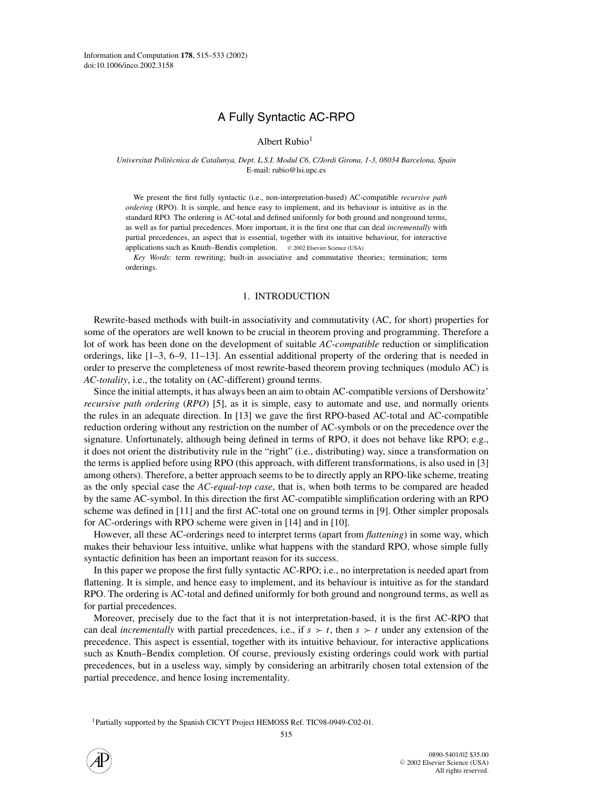# A Fully Syntactic AC-RPO

# Albert Rubio<sup>1</sup>

## *Universitat Politecnica de Catalunya, Dept. L.S.I. Modul C6, C/Jordi Girona, 1-3, 08034 Barcelona, Spain `* E-mail: rubio@lsi.upc.es

We present the first fully syntactic (i.e., non-interpretation-based) AC-compatible *recursive path ordering* (RPO). It is simple, and hence easy to implement, and its behaviour is intuitive as in the standard RPO. The ordering is AC-total and defined uniformly for both ground and nonground terms, as well as for partial precedences. More important, it is the first one that can deal *incrementally* with partial precedences, an aspect that is essential, together with its intuitive behaviour, for interactive applications such as Knuth–Bendix completion. -<sup>C</sup> 2002 Elsevier Science (USA)

*Key Words*: term rewriting; built-in associative and commutative theories; termination; term orderings.

# 1. INTRODUCTION

Rewrite-based methods with built-in associativity and commutativity (AC, for short) properties for some of the operators are well known to be crucial in theorem proving and programming. Therefore a lot of work has been done on the development of suitable *AC-compatible* reduction or simplification orderings, like [1–3, 6–9, 11–13]. An essential additional property of the ordering that is needed in order to preserve the completeness of most rewrite-based theorem proving techniques (modulo AC) is *AC-totality*, i.e., the totality on (AC-different) ground terms.

Since the initial attempts, it has always been an aim to obtain AC-compatible versions of Dershowitz' *recursive path ordering* (*RPO*) [5], as it is simple, easy to automate and use, and normally orients the rules in an adequate direction. In [13] we gave the first RPO-based AC-total and AC-compatible reduction ordering without any restriction on the number of AC-symbols or on the precedence over the signature. Unfortunately, although being defined in terms of RPO, it does not behave like RPO; e.g., it does not orient the distributivity rule in the "right" (i.e., distributing) way, since a transformation on the terms is applied before using RPO (this approach, with different transformations, is also used in [3] among others). Therefore, a better approach seems to be to directly apply an RPO-like scheme, treating as the only special case the *AC-equal-top case*, that is, when both terms to be compared are headed by the same AC-symbol. In this direction the first AC-compatible simplification ordering with an RPO scheme was defined in [11] and the first AC-total one on ground terms in [9]. Other simpler proposals for AC-orderings with RPO scheme were given in [14] and in [10].

However, all these AC-orderings need to interpret terms (apart from *flattening*) in some way, which makes their behaviour less intuitive, unlike what happens with the standard RPO, whose simple fully syntactic definition has been an important reason for its success.

In this paper we propose the first fully syntactic AC-RPO; i.e., no interpretation is needed apart from flattening. It is simple, and hence easy to implement, and its behaviour is intuitive as for the standard RPO. The ordering is AC-total and defined uniformly for both ground and nonground terms, as well as for partial precedences.

Moreover, precisely due to the fact that it is not interpretation-based, it is the first AC-RPO that can deal *incrementally* with partial precedences, i.e., if  $s > t$ , then  $s > t$  under any extension of the precedence. This aspect is essential, together with its intuitive behaviour, for interactive applications such as Knuth–Bendix completion. Of course, previously existing orderings could work with partial precedences, but in a useless way, simply by considering an arbitrarily chosen total extension of the partial precedence, and hence losing incrementality.



<sup>&</sup>lt;sup>1</sup>Partially supported by the Spanish CICYT Project HEMOSS Ref. TIC98-0949-C02-01.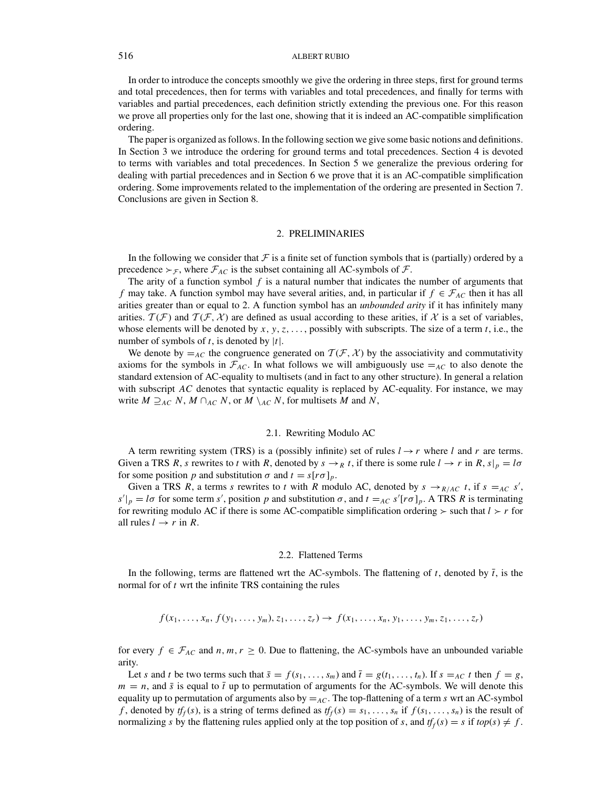In order to introduce the concepts smoothly we give the ordering in three steps, first for ground terms and total precedences, then for terms with variables and total precedences, and finally for terms with variables and partial precedences, each definition strictly extending the previous one. For this reason we prove all properties only for the last one, showing that it is indeed an AC-compatible simplification ordering.

The paper is organized as follows. In the following section we give some basic notions and definitions. In Section 3 we introduce the ordering for ground terms and total precedences. Section 4 is devoted to terms with variables and total precedences. In Section 5 we generalize the previous ordering for dealing with partial precedences and in Section 6 we prove that it is an AC-compatible simplification ordering. Some improvements related to the implementation of the ordering are presented in Section 7. Conclusions are given in Section 8.

## 2. PRELIMINARIES

In the following we consider that  $\mathcal F$  is a finite set of function symbols that is (partially) ordered by a precedence  $>\mathcal{F}_f$ , where  $\mathcal{F}_{AC}$  is the subset containing all AC-symbols of  $\mathcal{F}_f$ .

The arity of a function symbol  $f$  is a natural number that indicates the number of arguments that *f* may take. A function symbol may have several arities, and, in particular if  $f \in \mathcal{F}_{AC}$  then it has all arities greater than or equal to 2. A function symbol has an *unbounded arity* if it has infinitely many arities.  $T(\mathcal{F})$  and  $T(\mathcal{F}, \mathcal{X})$  are defined as usual according to these arities, if X is a set of variables, whose elements will be denoted by *x*, *y*,*z*,... , possibly with subscripts. The size of a term *t*, i.e., the number of symbols of  $t$ , is denoted by  $|t|$ .

We denote by  $=_{{AC}}$  the congruence generated on  $\mathcal{T}(\mathcal{F}, \mathcal{X})$  by the associativity and commutativity axioms for the symbols in  $\mathcal{F}_{AC}$ . In what follows we will ambiguously use  $=_{AC}$  to also denote the standard extension of AC-equality to multisets (and in fact to any other structure). In general a relation with subscript *AC* denotes that syntactic equality is replaced by AC-equality. For instance, we may write  $M \supseteq_{AC} N$ ,  $M \cap_{AC} N$ , or  $M \setminus_{AC} N$ , for multisets  $M$  and  $N$ ,

## 2.1. Rewriting Modulo AC

A term rewriting system (TRS) is a (possibly infinite) set of rules  $l \rightarrow r$  where *l* and *r* are terms. Given a TRS *R*, *s* rewrites to *t* with *R*, denoted by  $s \to R$  *t*, if there is some rule  $l \to r$  in *R*,  $s|_p = l\sigma$ for some position *p* and substitution  $\sigma$  and  $t = s[r\sigma]_p$ .

Given a TRS *R*, a terms *s* rewrites to *t* with *R* modulo AC, denoted by  $s \rightarrow R/AC$  *t*, if  $s =_{AC} s'$ ,  $s'|_p = l\sigma$  for some term *s'*, position *p* and substitution  $\sigma$ , and  $t =_{AC} s'[r\sigma]_p$ . A TRS *R* is terminating for rewriting modulo AC if there is some AC-compatible simplification ordering  $\succ$  such that  $l \succ r$  for all rules  $l \rightarrow r$  in *R*.

#### 2.2. Flattened Terms

In the following, terms are flattened wrt the AC-symbols. The flattening of  $t$ , denoted by  $\bar{t}$ , is the normal for of *t* wrt the infinite TRS containing the rules

$$
f(x_1,\ldots,x_n,f(y_1,\ldots,y_m),z_1,\ldots,z_r)\rightarrow f(x_1,\ldots,x_n,y_1,\ldots,y_m,z_1,\ldots,z_r)
$$

for every  $f \in \mathcal{F}_{AC}$  and  $n, m, r \ge 0$ . Due to flattening, the AC-symbols have an unbounded variable arity.

Let *s* and *t* be two terms such that  $\bar{s} = f(s_1, \ldots, s_m)$  and  $\bar{t} = g(t_1, \ldots, t_n)$ . If  $s =_{AC} t$  then  $f = g$ ,  $m = n$ , and  $\bar{s}$  is equal to  $\bar{t}$  up to permutation of arguments for the AC-symbols. We will denote this equality up to permutation of arguments also by  $=_{AC}$ . The top-flattening of a term *s* wrt an AC-symbol *f*, denoted by  $tf_f(s)$ , is a string of terms defined as  $tf_f(s) = s_1, \ldots, s_n$  if  $f(s_1, \ldots, s_n)$  is the result of normalizing *s* by the flattening rules applied only at the top position of *s*, and  $tf_f(s) = s$  if  $top(s) \neq f$ .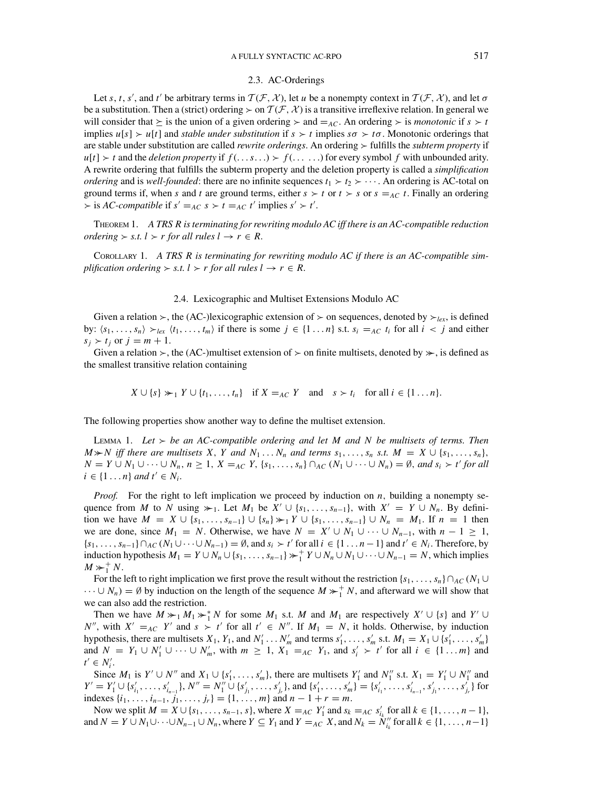## 2.3. AC-Orderings

Let *s*, *t*, *s'*, and *t'* be arbitrary terms in  $T(F, \mathcal{X})$ , let *u* be a nonempty context in  $T(F, \mathcal{X})$ , and let  $\sigma$ be a substitution. Then a (strict) ordering  $\triangleright$  on  $\mathcal{T}(\mathcal{F}, \mathcal{X})$  is a transitive irreflexive relation. In general we will consider that  $\geq$  is the union of a given ordering  $\geq$  and  $=$ <sub>*AC*</sub>. An ordering  $\geq$  is *monotonic* if  $s \geq t$ implies  $u[s] > u[t]$  and *stable under substitution* if  $s > t$  implies  $s\sigma > t\sigma$ . Monotonic orderings that are stable under substitution are called *rewrite orderings*. An ordering  $\succ$  fulfills the *subterm property* if  $u[t] > t$  and the *deletion property* if  $f(\ldots s \ldots) > f(\ldots s)$  for every symbol *f* with unbounded arity. A rewrite ordering that fulfills the subterm property and the deletion property is called a *simplification ordering* and is *well-founded*: there are no infinite sequences  $t_1 > t_2 > \cdots$ . An ordering is AC-total on ground terms if, when *s* and *t* are ground terms, either  $s \succ t$  or  $t \succ s$  or  $s =_{AC} t$ . Finally an ordering  $\ge$  is *AC-compatible* if  $s' =_{AC} s \ge t =_{AC} t'$  implies  $s' \ge t'$ .

THEOREM 1. *A TRS R is terminating for rewriting modulo AC iff there is an AC-compatible reduction ordering*  $> s.t. l > r$  *for all rules*  $l \rightarrow r \in R$ .

COROLLARY 1. *A TRS R is terminating for rewriting modulo AC if there is an AC-compatible simplification ordering*  $> s.t. l > r$  *for all rules*  $l \rightarrow r \in R$ .

## 2.4. Lexicographic and Multiset Extensions Modulo AC

Given a relation  $\rightarrow$ , the (AC-)lexicographic extension of  $\rightarrow$  on sequences, denoted by  $\rightarrow$ <sub>lex</sub>, is defined by:  $\langle s_1, \ldots, s_n \rangle \succ_{lex} \langle t_1, \ldots, t_m \rangle$  if there is some  $j \in \{1 \ldots n\}$  s.t.  $s_i =_{AC} t_i$  for all  $i < j$  and either  $s_i > t_j$  or  $j = m + 1$ .

Given a relation  $\rightarrow$ , the (AC-)multiset extension of  $\rightarrow$  on finite multisets, denoted by  $\rightarrow$ , is defined as the smallest transitive relation containing

*X* ∪ {*s*}  $\ast$  *Y* ∪ {*t*<sub>1</sub>, ..., *t<sub>n</sub>*} if *X* =*AC Y* and *s*  $\ast$  *t<sub>i</sub>* for all *i* ∈ {1 ... *n*}.

The following properties show another way to define the multiset extension.

LEMMA 1. Let  $\geq$  be an AC-compatible ordering and let M and N be multisets of terms. Then *M* $\gt$ *N* iff there are multisets *X*, *Y* and *N*<sub>1</sub>...,*N<sub>n</sub>* and terms *s*<sub>1</sub>,...,*s<sub>n</sub> s.t. M* = *X* ∪ {*s*<sub>1</sub>,...,*s<sub>n</sub>*}, *N* = *Y* ∪ *N*<sub>1</sub> ∪ ···∪ *N<sub>n</sub>*,  $n \ge 1$ ,  $X = _{AC} Y$ , { $s_1, ..., s_n$ } ∩<sub>*AC*</sub> ( $N_1 ∪ \cdots ∪ N_n$ ) = Ø, *and*  $s_i \succ t'$  *for all*  $i \in \{1 \dots n\}$  *and*  $t' \in N_i$ .

*Proof.* For the right to left implication we proceed by induction on  $n$ , building a nonempty sequence from *M* to *N* using  $\ast_1$ . Let  $M_1$  be  $X' \cup \{s_1, \ldots, s_{n-1}\}\$ , with  $X' = Y \cup N_n$ . By definition we have  $M = X \cup \{s_1, \ldots, s_{n-1}\} \cup \{s_n\} \succ 1} Y \cup \{s_1, \ldots, s_{n-1}\} \cup N_n = M_1$ . If  $n = 1$  then we are done, since  $M_1 = N$ . Otherwise, we have  $N = X' \cup N_1 \cup \cdots \cup N_{n-1}$ , with  $n-1 \geq 1$ ,  ${s_1, \ldots, s_{n-1}} ∩_{AC} (N_1 ∪ \cdots ∪ N_{n-1}) = ∅$ , and  $s_i \succ t'$  for all  $i \in \{1 \ldots n-1\}$  and  $t' \in N_i$ . Therefore, by induction hypothesis  $M_1 = Y \cup N_n \cup \{s_1, \ldots, s_{n-1}\} \succ^+_1 Y \cup N_n \cup N_1 \cup \cdots \cup N_{n-1} = N$ , which implies  $M \gg_1^+ N$ .

For the left to right implication we first prove the result without the restriction  $\{s_1, \ldots, s_n\} \cap_{AC} (N_1 \cup$  $\cdots \cup N_n$  = Ø by induction on the length of the sequence  $M \rightarrow \frac{1}{1} N$ , and afterward we will show that we can also add the restriction.

Then we have  $M \nightharpoonup_1 M_1 \nightharpoonup_1^* N$  for some  $M_1$  s.t. *M* and  $M_1$  are respectively  $X' \cup \{s\}$  and  $Y' \cup$ *N*", with *X*' =  $_{AC}$  *Y*' and  $s > t'$  for all  $t' \in N''$ . If  $M_1 = N$ , it holds. Otherwise, by induction hypothesis, there are multisets  $X_1, Y_1$ , and  $N'_1 \ldots N'_m$  and terms  $s'_1, \ldots, s'_m$  s.t.  $M_1 = X_1 \cup \{s'_1, \ldots, s'_m\}$ and  $N = Y_1 \cup N'_1 \cup \cdots \cup N'_m$ , with  $m \geq 1$ ,  $X_1 =_{AC} Y_1$ , and  $s'_i \succ t'$  for all  $i \in \{1 \ldots m\}$  and  $t' \in N'_i$ .

Since  $M_1$  is  $Y' \cup N''$  and  $X_1 \cup \{s'_1, \ldots, s'_m\}$ , there are multisets  $Y'_1$  and  $N''_1$  s.t.  $X_1 = Y'_1 \cup N''_1$  and  $Y' = Y'_1 \cup \{s'_{i_1}, \ldots, s'_{i_{n-1}}\}, N'' = N''_1 \cup \{s'_{j_1}, \ldots, s'_{j_r}\}, \text{ and } \{s'_{1}, \ldots, s'_{m}\} = \{s'_{i_1}, \ldots, s'_{i_{n-1}}, s'_{j_1}, \ldots, s'_{j_r}\}$  for indexes  $\{i_1, \ldots, i_{n-1}, j_1, \ldots, j_r\} = \{1, \ldots, m\}$  and  $n - 1 + r = m$ .

Now we split *M* = *X* ∪ {*s*<sub>1</sub>, ..., *s*<sub>*n*−1</sub>, *s*}, where *X* = *AC Y*<sub>1</sub><sup>'</sup> and *s<sub>k</sub>* = *AC s*<sup>'</sup><sub>*i<sub>k</sub>*</sub> for all *k* ∈ {1, ..., *n* − 1}, and  $N = Y \cup N_1 \cup \cdots \cup N_{n-1} \cup N_n$ , where  $Y \subseteq Y_1$  and  $Y =_{AC} X$ , and  $N_k = N''_{i_k}$  for all  $k \in \{1, \ldots, n-1\}$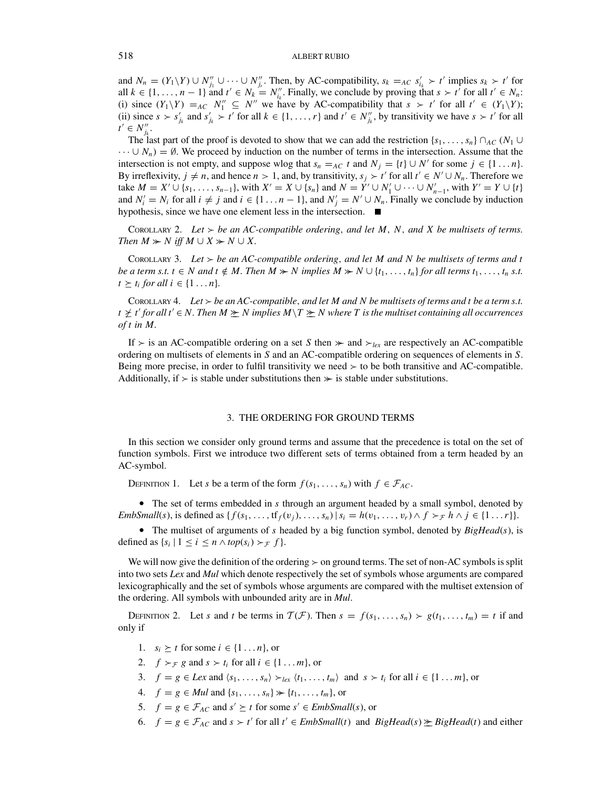and  $N_n = (Y_1 \setminus Y) \cup N_{j_1}'' \cup \cdots \cup N_{j_r}''$ . Then, by AC-compatibility,  $s_k =_{AC} s'_{i_k} > t'$  implies  $s_k > t'$  for all  $k \in \{1, ..., n-1\}$  and  $t' \in N_k = N''_{i_k}$ . Finally, we conclude by proving that  $s \succ t'$  for all  $t' \in N_n$ . (i) since  $(Y_1 \setminus Y) =_{AC} N_1'' \subseteq N''$  we have by AC-compatibility that  $s \succ t'$  for all  $t' \in (Y_1 \setminus Y)$ ; (ii) since  $s > s'_{jk}$  and  $s'_{jk} > t'$  for all  $k \in \{1, ..., r\}$  and  $t' \in N''_{jk}$ , by transitivity we have  $s > t'$  for all  $t' \in N_{j_k}$ .

The last part of the proof is devoted to show that we can add the restriction  $\{s_1, \ldots, s_n\} \cap_{AC} (N_1 \cup$  $\cdots \cup N_n$ ) = Ø. We proceed by induction on the number of terms in the intersection. Assume that the intersection is not empty, and suppose wlog that  $s_n =_{AC} t$  and  $N_i = \{t\} \cup N'$  for some  $j \in \{1 \dots n\}$ . By irreflexivity,  $j \neq n$ , and hence  $n > 1$ , and, by transitivity,  $s_j > t'$  for all  $t' \in N' \cup N_n$ . Therefore we take  $M = X' \cup \{s_1, \ldots, s_{n-1}\}$ , with  $X' = X \cup \{s_n\}$  and  $N = Y' \cup N'_1 \cup \cdots \cup N'_{n-1}$ , with  $Y' = Y \cup \{t\}$ and  $N'_i = N_i$  for all  $i \neq j$  and  $i \in \{1 \dots n-1\}$ , and  $N'_j = N' \cup N_n$ . Finally we conclude by induction hypothesis, since we have one element less in the intersection.

COROLLARY 2. Let  $\succ$  be an AC-compatible ordering, and let M, N, and X be multisets of terms. *Then*  $M \n\geq N$  *iff*  $M \cup X \n\geq N \cup X$ .

COROLLARY 3. Let  $\succ$  be an AC-compatible ordering, and let M and N be multisets of terms and t *be a term s.t. t*  $\in$  *N* and  $t \notin M$ . Then  $M \ge N$  implies  $M \ge N \cup \{t_1, \ldots, t_n\}$  for all terms  $t_1, \ldots, t_n$  *s.t.*  $t \geq t_i$  *for all i*  $\in \{1 \dots n\}$ *.* 

COROLLARY 4. Let  $\succ$  be an AC-compatible, and let M and N be multisets of terms and t be a term s.t.  $t \neq t'$  for all  $t' \in N$ . Then  $M \geq N$  implies  $M \setminus T \geq N$  where T is the multiset containing all occurrences *of t in M.*

If  $\ge$  is an AC-compatible ordering on a set *S* then  $\ge$  and  $\ge$ <sub>lex</sub> are respectively an AC-compatible ordering on multisets of elements in *S* and an AC-compatible ordering on sequences of elements in *S*. Being more precise, in order to fulfil transitivity we need  $\succ$  to be both transitive and AC-compatible. Additionally, if  $\geq$  is stable under substitutions then  $\gg$  is stable under substitutions.

# 3. THE ORDERING FOR GROUND TERMS

In this section we consider only ground terms and assume that the precedence is total on the set of function symbols. First we introduce two different sets of terms obtained from a term headed by an AC-symbol.

DEFINITION 1. Let *s* be a term of the form  $f(s_1, \ldots, s_n)$  with  $f \in \mathcal{F}_{AC}$ .

• The set of terms embedded in *s* through an argument headed by a small symbol, denoted by *EmbSmall*(*s*), is defined as  $\{f(s_1, \ldots, tf_f(v_i), \ldots, s_n) | s_i = h(v_1, \ldots, v_r) \land f \succ_{\mathcal{F}} h \land j \in \{1 \ldots r\}\}.$ 

• The multiset of arguments of *s* headed by a big function symbol, denoted by *BigHead*(*s*), is defined as  $\{s_i \mid 1 \leq i \leq n \land top(s_i) \succ_{\mathcal{F}} f\}.$ 

We will now give the definition of the ordering  $\geq$  on ground terms. The set of non-AC symbols is split into two sets *Lex* and *Mul* which denote respectively the set of symbols whose arguments are compared lexicographically and the set of symbols whose arguments are compared with the multiset extension of the ordering. All symbols with unbounded arity are in *Mul*.

DEFINITION 2. Let *s* and *t* be terms in  $\mathcal{T}(\mathcal{F})$ . Then  $s = f(s_1, \ldots, s_n) > g(t_1, \ldots, t_m) = t$  if and only if

- 1.  $s_i \geq t$  for some  $i \in \{1 \dots n\}$ , or
- 2. *f*  $>\tau$  *g* and *s*  $>\tau$  *i* for all *i*  $\in$  {1...*m*}, or
- 3. *f* = *g* ∈ *Lex* and  $\langle s_1, \ldots, s_n \rangle$   $\succ_{lex}$   $\langle t_1, \ldots, t_m \rangle$  and  $s \succ t_i$  for all  $i \in \{1 \ldots m\}$ , or
- 4.  $f = g \in Mult$  and  $\{s_1, \ldots, s_n\} \rightarrow \{t_1, \ldots, t_m\}$ , or
- 5.  $f = g \in \mathcal{F}_{AC}$  and  $s' \ge t$  for some  $s' \in \mathcal{F}_{CD}$  *EmbSmall*(*s*), or
- 6. *f* = *g* ∈  $\mathcal{F}_{AC}$  and *s*  $> t'$  for all *t'* ∈ *EmbSmall*(*t*) and *BigHead*(*s*)  $\geq$  *BigHead*(*t*) and either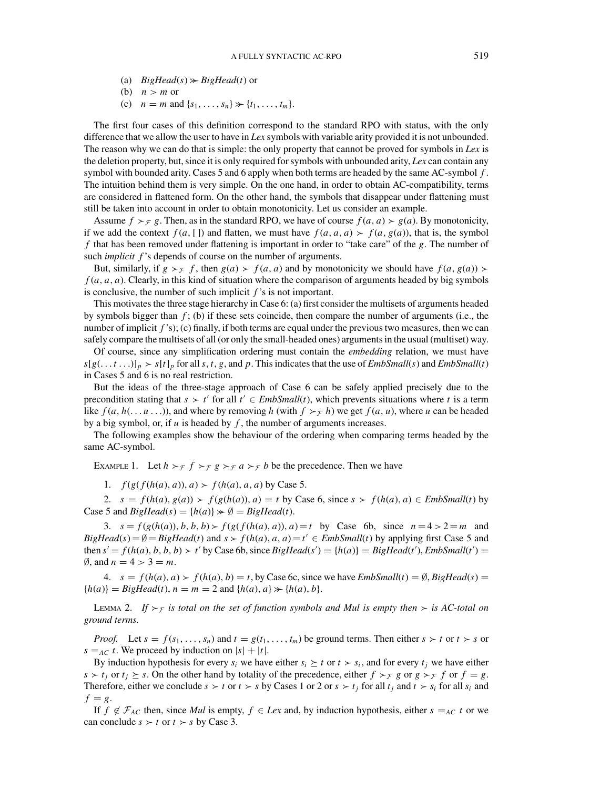- (a)  $BigHead(s) \rightarrow BigHead(t)$  or
- (b)  $n > m$  or
- (c)  $n = m$  and  $\{s_1, \ldots, s_n\} \rightarrow \{t_1, \ldots, t_m\}.$

The first four cases of this definition correspond to the standard RPO with status, with the only difference that we allow the user to have in *Lex* symbols with variable arity provided it is not unbounded. The reason why we can do that is simple: the only property that cannot be proved for symbols in *Lex* is the deletion property, but, since it is only required for symbols with unbounded arity, *Lex* can contain any symbol with bounded arity. Cases 5 and 6 apply when both terms are headed by the same AC-symbol *f* . The intuition behind them is very simple. On the one hand, in order to obtain AC-compatibility, terms are considered in flattened form. On the other hand, the symbols that disappear under flattening must still be taken into account in order to obtain monotonicity. Let us consider an example.

Assume  $f \succ_{\mathcal{F}} g$ . Then, as in the standard RPO, we have of course  $f(a, a) \succ g(a)$ . By monotonicity, if we add the context  $f(a, \lceil \rceil)$  and flatten, we must have  $f(a, a, a) > f(a, g(a))$ , that is, the symbol *f* that has been removed under flattening is important in order to "take care" of the *g*. The number of such *implicit f* 's depends of course on the number of arguments.

But, similarly, if  $g \succ_f f$ , then  $g(a) \succ f(a, a)$  and by monotonicity we should have  $f(a, g(a)) \succ f(a, g(a))$ *f* (*a*, *a*, *a*). Clearly, in this kind of situation where the comparison of arguments headed by big symbols is conclusive, the number of such implicit *f* 's is not important.

This motivates the three stage hierarchy in Case 6: (a) first consider the multisets of arguments headed by symbols bigger than *f* ; (b) if these sets coincide, then compare the number of arguments (i.e., the number of implicit *f*'s); (c) finally, if both terms are equal under the previous two measures, then we can safely compare the multisets of all (or only the small-headed ones) arguments in the usual (multiset) way.

Of course, since any simplification ordering must contain the *embedding* relation, we must have  $s[g(\ldots t \ldots)]_p \ge s[t]_p$  for all *s*, *t*, *g*, and *p*. This indicates that the use of *EmbSmall*(*s*) and *EmbSmall*(*t*) in Cases 5 and 6 is no real restriction.

But the ideas of the three-stage approach of Case 6 can be safely applied precisely due to the precondition stating that  $s > t'$  for all  $t' \in EmbSmall(t)$ , which prevents situations where t is a term like  $f(a, h(\ldots, u, \ldots))$ , and where by removing *h* (with  $f \succ_{\mathcal{F}} h$ ) we get  $f(a, u)$ , where *u* can be headed by a big symbol, or, if *u* is headed by *f* , the number of arguments increases.

The following examples show the behaviour of the ordering when comparing terms headed by the same AC-symbol.

EXAMPLE 1. Let  $h >_{\mathcal{F}} f >_{\mathcal{F}} g >_{\mathcal{F}} a >_{\mathcal{F}} b$  be the precedence. Then we have

1.  $f(g(f(h(a), a)), a) > f(h(a), a, a)$  by Case 5.

2.  $s = f(h(a), g(a)) > f(g(h(a)), a) = t$  by Case 6, since  $s > f(h(a), a) \in \mathbb{R}$  *e EmbSmall*(*t*) by Case 5 and *BigHead*(*s*) = { $h(a)$ }  $\gg \emptyset$  = *BigHead*(*t*).

3.  $s = f(g(h(a)), b, b, b) > f(g(f(h(a), a)), a) = t$  by Case 6b, since  $n = 4 > 2 = m$  and *BigHead*(*s*) =  $\emptyset$  = *BigHead*(*t*) and *s* > *f* (*h*(*a*), *a*, *a*) = *t*'  $\in$  *EmbSmall*(*t*) by applying first Case 5 and then  $s' = f(h(a), b, b, b) > t'$  by Case 6b, since  $BigHead(s') = \{h(a)\} = BigHead(t')$ ,  $EmbSmall(t') =$  $\emptyset$ , and  $n = 4 > 3 = m$ .

4. *s* = *f*( $h(a)$ , *a*) ≻ *f*( $h(a)$ , *b*) = *t*, by Case 6c, since we have *EmbSmall*(*t*) = Ø, *BigHead*(*s*) =  ${h(a)} = BigHead(t), n = m = 2$  and  ${h(a), a} \ge {h(a), b}.$ 

LEMMA 2. If  $\succ_{\mathcal{F}}$  is total on the set of function symbols and Mul is empty then  $\succ$  is AC-total on *ground terms.*

*Proof.* Let  $s = f(s_1, \ldots, s_n)$  and  $t = g(t_1, \ldots, t_m)$  be ground terms. Then either  $s \succ t$  or  $t \succ s$  or  $s =_{AC} t$ . We proceed by induction on  $|s| + |t|$ .

By induction hypothesis for every  $s_i$  we have either  $s_i \geq t$  or  $t > s_i$ , and for every  $t_i$  we have either  $s \succ t_j$  or  $t_j \geq s$ . On the other hand by totality of the precedence, either  $f \succ_\mathcal{F} g$  or  $g \succ_\mathcal{F} f$  or  $f = g$ . Therefore, either we conclude  $s \succ t$  or  $t \succ s$  by Cases 1 or 2 or  $s \succ t_j$  for all  $t_j$  and  $t \succ s_i$  for all  $s_i$  and  $f = g$ .

If  $f \notin \mathcal{F}_{AC}$  then, since *Mul* is empty,  $f \in Lex$  and, by induction hypothesis, either  $s =_{AC} t$  or we can conclude  $s \succ t$  or  $t \succ s$  by Case 3.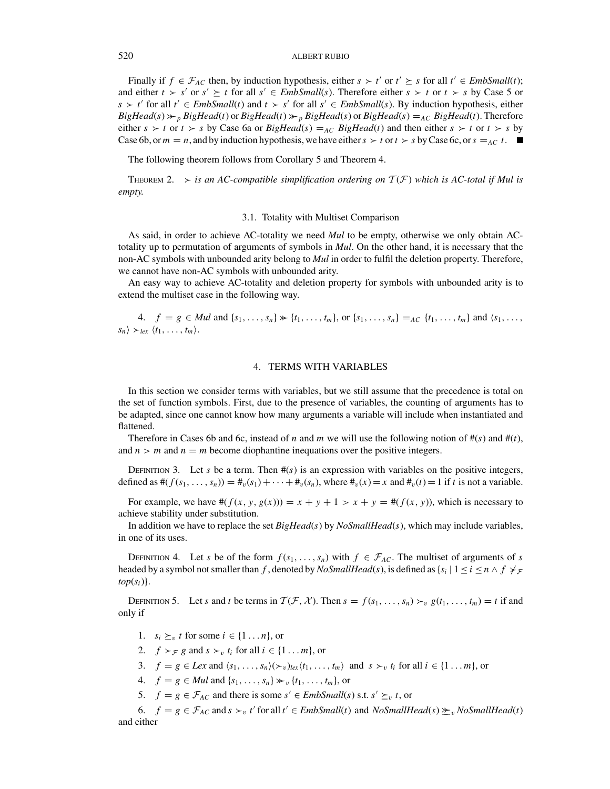Finally if  $f \in \mathcal{F}_{AC}$  then, by induction hypothesis, either  $s \succ t'$  or  $t' \succeq s$  for all  $t' \in \mathit{EmbSmall}(t)$ ; and either  $t > s'$  or  $s' \ge t$  for all  $s' \in \mathbb{R}$  *e EmbSmall*(*s*). Therefore either  $s > t$  or  $t > s$  by Case 5 or  $s \succ t'$  for all  $t' \in EmbSmall(t)$  and  $t \succ s'$  for all  $s' \in EmbSmall(s)$ . By induction hypothesis, either *BigHead*(*s*)  $\gg_p$  *BigHead*(*t*) or *BigHead*(*t*)  $\gg_p$  *BigHead*(*s*) or *BigHead*(*s*) = *AC BigHead*(*t*). Therefore either  $s > t$  or  $t > s$  by Case 6a or *BigHead(s)* =  $_{AC}$  *BigHead(t)* and then either  $s > t$  or  $t > s$  by Case 6b, or  $m = n$ , and by induction hypothesis, we have either  $s \succ t$  or  $t \succ s$  by Case 6c, or  $s =_{AC} t$ .

The following theorem follows from Corollary 5 and Theorem 4.

THEOREM 2.  $>$  *is an AC-compatible simplification ordering on*  $T(F)$  *which is AC-total if Mul is empty.*

# 3.1. Totality with Multiset Comparison

As said, in order to achieve AC-totality we need *Mul* to be empty, otherwise we only obtain ACtotality up to permutation of arguments of symbols in *Mul*. On the other hand, it is necessary that the non-AC symbols with unbounded arity belong to *Mul* in order to fulfil the deletion property. Therefore, we cannot have non-AC symbols with unbounded arity.

An easy way to achieve AC-totality and deletion property for symbols with unbounded arity is to extend the multiset case in the following way.

4.  $f = g \in Mul$  and  $\{s_1, \ldots, s_n\} \rightarrow \{t_1, \ldots, t_m\}$ , or  $\{s_1, \ldots, s_n\} = _{AC} \{t_1, \ldots, t_m\}$  and  $\{s_1, \ldots, s_n\} = _{AC} \{t_1, \ldots, t_m\}$  $s_n$   $\succeq_{lex}$   $\langle t_1, \ldots, t_m \rangle$ .

# 4. TERMS WITH VARIABLES

In this section we consider terms with variables, but we still assume that the precedence is total on the set of function symbols. First, due to the presence of variables, the counting of arguments has to be adapted, since one cannot know how many arguments a variable will include when instantiated and flattened.

Therefore in Cases 6b and 6c, instead of *n* and *m* we will use the following notion of  $\#(s)$  and  $\#(t)$ , and  $n > m$  and  $n = m$  become diophantine inequations over the positive integers.

DEFINITION 3. Let *s* be a term. Then  $\#(s)$  is an expression with variables on the positive integers, defined as  $#(f(s_1,...,s_n)) = #_v(s_1) + \cdots + #_v(s_n)$ , where  $#_v(x) = x$  and  $#_v(t) = 1$  if *t* is not a variable.

For example, we have  $#(f(x, y, g(x))) = x + y + 1 > x + y = #( f(x, y))$ , which is necessary to achieve stability under substitution.

In addition we have to replace the set *BigHead*(*s*) by *NoSmallHead*(*s*), which may include variables, in one of its uses.

DEFINITION 4. Let *s* be of the form  $f(s_1, \ldots, s_n)$  with  $f \in \mathcal{F}_{AC}$ . The multiset of arguments of *s* headed by a symbol not smaller than *f*, denoted by *NoSmallHead*(*s*), is defined as  $\{s_i | 1 \le i \le n \land f \neq r\}$  $top(s_i)$ .

DEFINITION 5. Let *s* and *t* be terms in  $\mathcal{T}(\mathcal{F}, \mathcal{X})$ . Then  $s = f(s_1, \ldots, s_n) \succ_v g(t_1, \ldots, t_m) = t$  if and only if

1.  $s_i \succeq_v t$  for some  $i \in \{1 \dots n\}$ , or

2. *f*  $>\_F$  *g* and *s*  $>\_v$  *t<sub>i</sub>* for all *i*  $\in$  {1...*m*}, or

3.  $f = g \in Lex$  and  $\langle s_1, \ldots, s_n \rangle \langle \succ_v \rangle_{lex} \langle t_1, \ldots, t_m \rangle$  and  $s \succ_v t_i$  for all  $i \in \{1 \ldots m\}$ , or

4.  $f = g \in Mult$  and  $\{s_1, \ldots, s_n\} \gg_v \{t_1, \ldots, t_m\}$ , or

5.  $f = g \in \mathcal{F}_{AC}$  and there is some  $s' \in \mathcal{F}_{AB}$  and  $f(s)$  s.t.  $s' \succeq_v t$ , or

6. *f* = *g* ∈  $\mathcal{F}_{AC}$  and *s*  $\succ_v t'$  for all  $t'$  ∈ *EmbSmall(t)* and *NoSmallHead(s)*  $\geq_v N$ *oSmallHead(t)* and either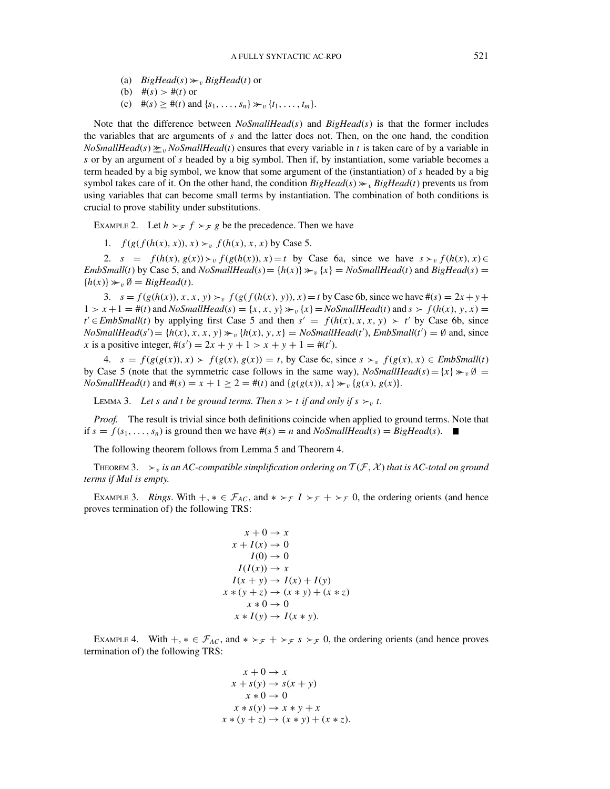- (a)  $BigHead(s) \rightarrow v$   $BigHead(t)$  or
- (b)  $\#(s) > \#(t)$  or
- (c)  $\#(s) \geq \#(t)$  and  $\{s_1, \ldots, s_n\} \gg_{v} \{t_1, \ldots, t_m\}.$

Note that the difference between *NoSmallHead*(*s*) and *BigHead*(*s*) is that the former includes the variables that are arguments of *s* and the latter does not. Then, on the one hand, the condition *NoSmallHead*(*s*)  $\geq_v$  *NoSmallHead*(*t*) ensures that every variable in *t* is taken care of by a variable in *s* or by an argument of *s* headed by a big symbol. Then if, by instantiation, some variable becomes a term headed by a big symbol, we know that some argument of the (instantiation) of *s* headed by a big symbol takes care of it. On the other hand, the condition  $BigHead(s) \rightarrow v \left(BigHead(t)\right)$  prevents us from using variables that can become small terms by instantiation. The combination of both conditions is crucial to prove stability under substitutions.

EXAMPLE 2. Let  $h \succ_{\mathcal{F}} f \succ_{\mathcal{F}} g$  be the precedence. Then we have

1.  $f(g(f(h(x), x)), x) \succ_v f(h(x), x, x)$  by Case 5.

2.  $s = f(h(x), g(x)) \succ_v f(g(h(x)), x) = t$  by Case 6a, since we have  $s \succ_v f(h(x), x) \in$ *EmbSmall*(*t*) by Case 5, and *NoSmallHead*(*s*) = { $h(x)$ }  $\succcurlyeq_v {x}$  = *NoSmallHead*(*t*) and *BigHead*(*s*) =  ${h(x)} \rightarrow_{v} \emptyset = BigHead(t).$ 

3.  $s = f(g(h(x)), x, x, y) > v f(g(f(h(x), y)), x) = t$  by Case 6b, since we have  $\#(s) = 2x + y +$  $1 > x + 1 = #(1)$  and  $NoSmallHead(s) = \{x, x, y\} \rightarrow_{v} \{x\} = NoSmallHead(t)$  and  $s > f(h(x), y, x) =$ *t*' ∈ *EmbSmall*(*t*) by applying first Case 5 and then  $s' = f(h(x), x, x, y) \succ t'$  by Case 6b, since  $NoSmallHead(s') = \{h(x), x, x, y\} \rightarrow_{v} \{h(x), y, x\} = NoSmallHead(t'), EmbSmall(t') = \emptyset$  and, since *x* is a positive integer,  $\#(s') = 2x + y + 1 > x + y + 1 = \#(t')$ .

4. *s* = *f*(*g*(*g*(*x*)), *x*) ≻ *f*(*g*(*x*), *g*(*x*)) = *t*, by Case 6c, since *s* ≻<sub>*v*</sub> *f*(*g*(*x*), *x*) ∈ *EmbSmall*(*t*) by Case 5 (note that the symmetric case follows in the same way), *NoSmallHead*( $s$ ) = { $x$ }  $\gg_y \emptyset$  = *NoSmallHead*(*t*) and  $#(s) = x + 1 \ge 2 = #(t)$  and  $\{g(g(x)), x\} \gg_y \{g(x), g(x)\}.$ 

LEMMA 3. Let s and t be ground terms. Then  $s > t$  if and only if  $s > v$ .

*Proof.* The result is trivial since both definitions coincide when applied to ground terms. Note that if  $s = f(s_1, \ldots, s_n)$  is ground then we have  $f(s) = n$  and *NoSmallHead*(*s*) = *BigHead*(*s*).

The following theorem follows from Lemma 5 and Theorem 4.

THEOREM 3.  $\triangleright_v$  *is an AC-compatible simplification ordering on*  $T(\mathcal{F}, \mathcal{X})$  *that is AC-total on ground terms if Mul is empty.*

EXAMPLE 3. *Rings*. With  $+$ ,  $* \in \mathcal{F}_{AC}$ , and  $* >_{\mathcal{F}} I >_{\mathcal{F}} + >_{\mathcal{F}} 0$ , the ordering orients (and hence proves termination of) the following TRS:

$$
x + 0 \rightarrow x
$$
  
\n
$$
x + I(x) \rightarrow 0
$$
  
\n
$$
I(0) \rightarrow 0
$$
  
\n
$$
I(I(x)) \rightarrow x
$$
  
\n
$$
I(x + y) \rightarrow I(x) + I(y)
$$
  
\n
$$
x * (y + z) \rightarrow (x * y) + (x * z)
$$
  
\n
$$
x * 0 \rightarrow 0
$$
  
\n
$$
x * I(y) \rightarrow I(x * y).
$$

EXAMPLE 4. With  $+, * \in \mathcal{F}_{AC}$ , and  $* \succ_{\mathcal{F}} + \succ_{\mathcal{F}} s \succ_{\mathcal{F}} 0$ , the ordering orients (and hence proves termination of) the following TRS:

$$
x + 0 \rightarrow x
$$
  
\n
$$
x + s(y) \rightarrow s(x + y)
$$
  
\n
$$
x * 0 \rightarrow 0
$$
  
\n
$$
x * s(y) \rightarrow x * y + x
$$
  
\n
$$
x * (y + z) \rightarrow (x * y) + (x * z).
$$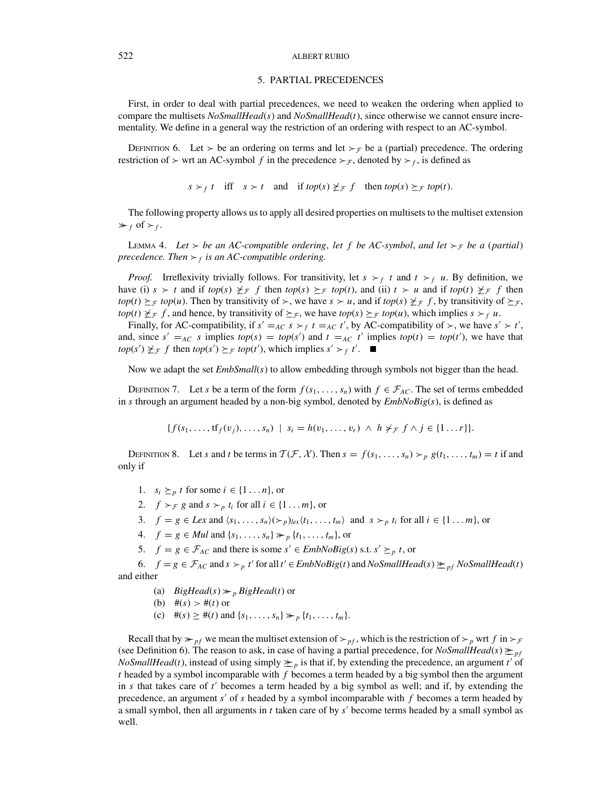## 5. PARTIAL PRECEDENCES

First, in order to deal with partial precedences, we need to weaken the ordering when applied to compare the multisets *NoSmallHead*(*s*) and *NoSmallHead*(*t*), since otherwise we cannot ensure incrementality. We define in a general way the restriction of an ordering with respect to an AC-symbol.

DEFINITION 6. Let  $\geq$  be an ordering on terms and let  $\geq$  be a (partial) precedence. The ordering restriction of  $\succ$  wrt an AC-symbol *f* in the precedence  $\succ$   $\tau$ , denoted by  $\succ$  *f*, is defined as

 $s \succ_f t$  iff  $s \succ t$  and if  $top(s) \not\geq_f f$  then  $top(s) \succeq_f top(t)$ .

The following property allows us to apply all desired properties on multisets to the multiset extension  $\mathcal{F}$  *f* of  $\mathcal{F}$  *f* .

LEMMA 4. Let  $\geq$  be an AC-compatible ordering, let f be AC-symbol, and let  $\geq$  f be a (partial) *precedence. Then*  $\geq_f$  *is an AC-compatible ordering.* 

*Proof.* Irreflexivity trivially follows. For transitivity, let  $s \succ_f t$  and  $t \succ_f u$ . By definition, we have (i)  $s > t$  and if  $top(s) \not\geq_f f$  then  $top(s) \geq_f top(t)$ , and (ii)  $t > u$  and if  $top(t) \not\geq_f f$  then  $top(t) \geq_{\mathcal{F}} top(u)$ . Then by transitivity of  $\succ$ , we have  $s \succ u$ , and if  $top(s) \not\geq_{\mathcal{F}} f$ , by transitivity of  $\succeq_{\mathcal{F}} f$ , *top*(*t*)  $\neq$   $f$ , and hence, by transitivity of  $\geq$   $f$ , we have *top*(*s*)  $\geq$   $f$  *top*(*u*), which implies  $s \geq f$  *u*.

Finally, for AC-compatibility, if  $s' =_{AC} s >_{f} t =_{AC} t'$ , by AC-compatibility of  $\succ$ , we have  $s' > t'$ , and, since  $s' =_{AC} s$  implies  $top(s) = top(s')$  and  $t =_{AC} t'$  implies  $top(t) = top(t')$ , we have that *top*(*s'*)  $\nsucceq$  *f* then *top*(*s'*)  $\succeq$  *f top*(*t'*), which implies *s'*  $\succ_f$  *t'*.

Now we adapt the set *EmbSmall*(*s*) to allow embedding through symbols not bigger than the head.

DEFINITION 7. Let *s* be a term of the form  $f(s_1, \ldots, s_n)$  with  $f \in \mathcal{F}_{AC}$ . The set of terms embedded in *s* through an argument headed by a non-big symbol, denoted by *EmbNoBig*(*s*), is defined as

 ${f f(s_1, \ldots, tf_f(v_i), \ldots, s_n) \mid s_i = h(v_1, \ldots, v_r) \land h \neq_f f \land j \in \{1 \ldots r\}}.$ 

DEFINITION 8. Let *s* and *t* be terms in  $\mathcal{T}(\mathcal{F}, \mathcal{X})$ . Then  $s = f(s_1, \ldots, s_n) \succ_p g(t_1, \ldots, t_m) = t$  if and only if

- 1.  $s_i \geq p$  *t* for some  $i \in \{1 \dots n\}$ , or
- 2. *f*  $>\_F g$  and  $s \succ_p t_i$  for all  $i \in \{1 \dots m\}$ , or
- 3. *f* = *g* ∈ *Lex* and  $\langle s_1, \ldots, s_n \rangle$  $(\succ_p)_{lex}$  $\langle t_1, \ldots, t_m \rangle$  and  $s \succ_p t_i$  for all  $i \in \{1 \ldots m\}$ , or
- 4.  $f = g \in Mul$  and  $\{s_1, \ldots, s_n\} \gg_p \{t_1, \ldots, t_m\}$ , or
- 5. *f* = *g*  $\in$   $\mathcal{F}_{AC}$  and there is some *s'*  $\in$  *EmbNoBig(s)* s.t. *s'*  $\succeq_{p} t$ , or

6. *f* = *g* ∈  $\mathcal{F}_{AC}$  and *s*  $> p$  *t*' for all *t*' ∈ *EmbNoBig*(*t*) and *NoSmallHead*(*s*)  $\geq p$  *f NoSmallHead*(*t*) and either

- (a)  $BigHead(s) \gg_{p} BigHead(t)$  or
- (b)  $\#(s) > \#(t)$  or
- (c)  $\#(s) \geq \#(t)$  and  $\{s_1, \ldots, s_n\} \gg_p \{t_1, \ldots, t_m\}.$

Recall that by  $p_{pf}$  we mean the multiset extension of  $p_{pf}$ , which is the restriction of  $p_p$  wrt *f* in  $p_{pf}$ (see Definition 6). The reason to ask, in case of having a partial precedence, for *NoSmallHead*(*s*)  $\geq_{pf}$ *NoSmallHead(t)*, instead of using simply  $p \geq p$  is that if, by extending the precedence, an argument *t'* of *t* headed by a symbol incomparable with *f* becomes a term headed by a big symbol then the argument in *s* that takes care of *t* becomes a term headed by a big symbol as well; and if, by extending the precedence, an argument *s'* of *s* headed by a symbol incomparable with *f* becomes a term headed by a small symbol, then all arguments in *t* taken care of by *s* become terms headed by a small symbol as well.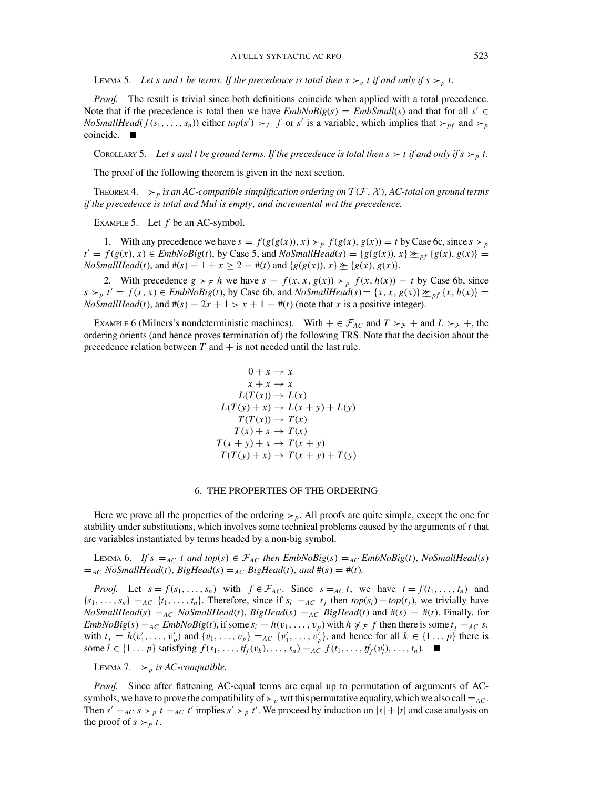LEMMA 5. Let s and t be terms. If the precedence is total then  $s \succ_v t$  if and only if  $s \succ_p t$ .

*Proof.* The result is trivial since both definitions coincide when applied with a total precedence. Note that if the precedence is total then we have  $EmboBig(s) = EmbSmall(s)$  and that for all  $s' \in$ *NoSmallHead*( $f(s_1,...,s_n)$ ) either  $top(s') >_{\mathcal{F}} f$  or *s'* is a variable, which implies that  $\succ_{pf}$  and  $\succ_p$ coincide.

COROLLARY 5. Let s and t be ground terms. If the precedence is total then  $s \succ t$  if and only if  $s \succ p t$ .

The proof of the following theorem is given in the next section.

THEOREM 4.  $\triangleright_{p}$  *is an AC-compatible simplification ordering on*  $T(\mathcal{F}, \mathcal{X})$ , *AC-total on ground terms if the precedence is total and Mul is empty*, *and incremental wrt the precedence.*

EXAMPLE 5. Let *f* be an AC-symbol.

1. With any precedence we have  $s = f(g(g(x)), x) > p f(g(x), g(x)) = t$  by Case 6c, since  $s > p$  $t' = f(g(x), x) \in \text{EmbNoBig}(t)$ , by Case 5, and *NoSmallHead*(*s*) = { $g(g(x))$ ,  $x$ }  $\geq_{pf}$  { $g(x)$ ,  $g(x)$ } = *NoSmallHead*(*t*), and  $#(s) = 1 + x \ge 2 = #(t)$  and  ${g(g(x))}, x \ge g(x), g(x)$ .

2. With precedence  $g \succ_{\mathcal{F}} h$  we have  $s = f(x, x, g(x)) \succ_p f(x, h(x)) = t$  by Case 6b, since  $s > p$   $t' = f(x, x) \in EmbN \text{ o } Big(t)$ , by Case 6b, and *NoSmallHead*( $s$ ) = {*x*, *x*, *g*(*x*)}  $\geq_{pf}$  {*x*, *h*(*x*)} = *NoSmallHead(t)*, and  $\#(s) = 2x + 1 > x + 1 = \#(t)$  (note that *x* is a positive integer).

EXAMPLE 6 (Milners's nondeterministic machines). With  $+ \in \mathcal{F}_{AC}$  and  $T >_{\mathcal{F}} +$  and  $L >_{\mathcal{F}} +$ , the ordering orients (and hence proves termination of) the following TRS. Note that the decision about the precedence relation between  $T$  and  $+$  is not needed until the last rule.

$$
0 + x \rightarrow x
$$
  
\n
$$
x + x \rightarrow x
$$
  
\n
$$
L(T(x)) \rightarrow L(x)
$$
  
\n
$$
L(T(y) + x) \rightarrow L(x + y) + L(y)
$$
  
\n
$$
T(T(x)) \rightarrow T(x)
$$
  
\n
$$
T(x) + x \rightarrow T(x)
$$
  
\n
$$
T(x + y) + x \rightarrow T(x + y)
$$
  
\n
$$
T(T(y) + x) \rightarrow T(x + y) + T(y)
$$

# 6. THE PROPERTIES OF THE ORDERING

Here we prove all the properties of the ordering  $\succ_p$ . All proofs are quite simple, except the one for stability under substitutions, which involves some technical problems caused by the arguments of *t* that are variables instantiated by terms headed by a non-big symbol.

LEMMA 6. *If*  $s =_{AC} t$  and  $top(s) \in \mathcal{F}_{AC}$  then  $EmbNoBig(s) =_{AC} EmbNoBig(t)$ ,  $NoSmallHead(s)$  $=$ <sub>*AC</sub> NoSmallHead*(*t*), *BigHead*(*s*)  $=$ <sub>*AC*</sub> *BigHead*(*t*), *and* #(*s*)  $=$  #(*t*).</sub>

*Proof.* Let  $s = f(s_1, \ldots, s_n)$  with  $f \in \mathcal{F}_{AC}$ . Since  $s =_{AC} t$ , we have  $t = f(t_1, \ldots, t_n)$  and  ${s_1, \ldots, s_n}$  =  ${}_{AC}$  { $t_1, \ldots, t_n$ }. Therefore, since if  $s_i$  =  ${}_{AC}$   $t_j$  then  $top(s_i) = top(t_j)$ , we trivially have *NoSmallHead*(*s*) =  $_{AC}$  *NoSmallHead*(*t*), *BigHead*(*s*) =  $_{AC}$  *BigHead*(*t*) and  $#(s) = #(t)$ . Finally, for *EmbNoBig(s)* =  $_{AC}$  *EmbNoBig(t)*, if some  $s_i = h(v_1, \ldots, v_p)$  with  $h \neq f$  *f* then there is some  $t_j =_{AC} s_i$ with  $t_j = h(v'_1, ..., v'_p)$  and  $\{v_1, ..., v_p\} =_{AC} \{v'_1, ..., v'_p\}$ , and hence for all  $k \in \{1, ..., p\}$  there is some *l* ∈ {1... *p*} satisfying *f*(*s*<sub>1</sub>, ..., *tf<sub>f</sub>*(*v*<sub>*k*</sub>), ..., *s<sub>n</sub>*) =  ${}_{AC}^{P}$  *f*(*t*<sub>1</sub>, ..., *t<sub>ff</sub>*(*v*<sub>*i*</sub><sup> $)$ </sup>, ..., *t<sub>n</sub>*).

LEMMA 7.  $\succ_p$  *is AC-compatible.* 

*Proof.* Since after flattening AC-equal terms are equal up to permutation of arguments of ACsymbols, we have to prove the compatibility of  $\succ_p$  wrt this permutative equality, which we also call  $=_{AC}$ . Then  $s' =_{AC} s >_{p} t =_{AC} t'$  implies  $s' >_{p} t'$ . We proceed by induction on  $|s| + |t|$  and case analysis on the proof of  $s \succ_p t$ .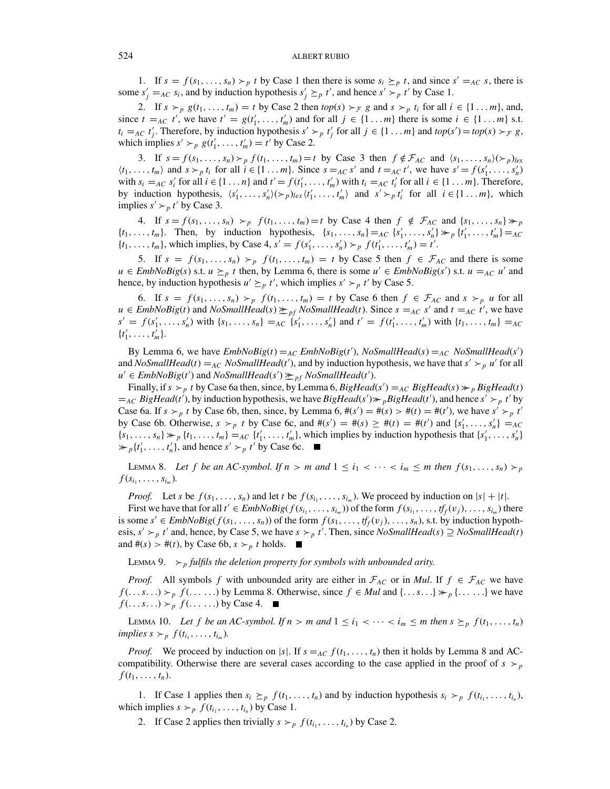1. If  $s = f(s_1, \ldots, s_n) > p$  *t* by Case 1 then there is some  $s_i \geq p$  *t*, and since  $s' =_{AC} s$ , there is some  $s'_j =_{AC} s_i$ , and by induction hypothesis  $s'_j \geq_p t'$ , and hence  $s' \succ_p t'$  by Case 1.

2. If  $s > p$   $g(t_1, \ldots, t_m) = t$  by Case 2 then  $top(s) > F$  *g* and  $s > p$   $t_i$  for all  $i \in \{1 \ldots m\}$ , and, since  $t =_{AC} t'$ , we have  $t' = g(t'_1, \ldots, t'_m)$  and for all  $j \in \{1 \ldots m\}$  there is some  $i \in \{1 \ldots m\}$  s.t.  $t_i =_{AC} t'_j$ . Therefore, by induction hypothesis  $s' \succ_p t'_j$  for all  $j \in \{1 \dots m\}$  and  $top(s') = top(s) \succ_\mathcal{F} g$ , which implies  $s' > p$   $g(t'_1, \ldots, t'_m) = t'$  by Case 2.

3. If  $s = f(s_1, \ldots, s_n) \succ_p f(t_1, \ldots, t_m) = t$  by Case 3 then  $f \notin \mathcal{F}_{AC}$  and  $\langle s_1, \ldots, s_n \rangle \langle \succ_p \rangle_{lex}$  $\langle t_1, \ldots, t_m \rangle$  and  $s > p t_i$  for all  $i \in \{1 \ldots m\}$ . Since  $s =_{AC} s'$  and  $t =_{AC} t'$ , we have  $s' = f(s'_1, \ldots, s'_n)$ with  $s_i =_{AC} s'_i$  for all  $i \in \{1 \dots n\}$  and  $t' = f(t'_1, \dots, t'_m)$  with  $t_i =_{AC} t'_i$  for all  $i \in \{1 \dots m\}$ . Therefore, by induction hypothesis,  $\langle s'_1, \ldots, s'_n \rangle \langle \succ_p \rangle_{lex} \langle t'_1, \ldots, t'_m \rangle$  and  $s' \succ_p t'_i$  for all  $i \in \{1 \ldots m\}$ , which implies  $s' \succ_p t'$  by Case 3.

4. If  $s = f(s_1, \ldots, s_n) \succ_p f(t_1, \ldots, t_m) = t$  by Case 4 then  $f \notin \mathcal{F}_{AC}$  and  $\{s_1, \ldots, s_n\} \succ_p$  $\{t_1, \ldots, t_m\}$ . Then, by induction hypothesis,  $\{s_1, \ldots, s_n\} = _{AC} \{s'_1, \ldots, s'_n\} \succcurlyeq_p \{t'_1, \ldots, t'_m\} = _{AC}$  $\{t_1, \ldots, t_m\}$ , which implies, by Case 4,  $s' = f(s'_1, \ldots, s'_n) \succ_p f(t'_1, \ldots, t'_m) = t'$ .

5. If  $s = f(s_1, \ldots, s_n) >_p f(t_1, \ldots, t_m) = t$  by Case 5 then  $f \in \mathcal{F}_{AC}$  and there is some *u* ∈ *EmbNoBig(s)* s.t. *u*  $\succeq_{p} t$  then, by Lemma 6, there is some *u'* ∈ *EmbNoBig(s')* s.t. *u* = *AC u'* and hence, by induction hypothesis  $u' \succeq_p t'$ , which implies  $s' \succ_p t'$  by Case 5.

6. If  $s = f(s_1, \ldots, s_n) >_p f(t_1, \ldots, t_m) = t$  by Case 6 then  $f \in \mathcal{F}_{AC}$  and  $s >_p u$  for all *u* ∈ *EmbNoBig*(*t*) and *NoSmallHead*(*s*)  $\geq_{pf}$  *NoSmallHead*(*t*). Since *s* =<sub>*AC*</sub> *s*<sup>*'*</sup> and *t* =<sub>*AC*</sub> *t*<sup>*'*</sup>, we have  $s' = f(s'_1, \ldots, s'_n)$  with  $\{s_1, \ldots, s_n\} =_{AC} \{s'_1, \ldots, s'_n\}$  and  $t' = f(t'_1, \ldots, t'_m)$  with  $\{t_1, \ldots, t_m\} =_{AC}$  $\{t'_1, \ldots, t'_m\}.$ 

By Lemma 6, we have  $EmbNoBig(t) =_{AC} EmbNoBig(t')$ ,  $NoSmallHead(s) =_{AC} NoSmallHead(s')$ and *NoSmallHead*(*t*) =  $_{AC}$  *NoSmallHead*(*t'*), and by induction hypothesis, we have that  $s' >_{p} u'$  for all  $u' \in EmbNoBig(t')$  and  $NoSmallHead(s') \geq_{pf} NoSmallHead(t')$ .

Finally, if  $s \succ_p t$  by Case 6a then, since, by Lemma 6, *BigHead*(*s'*) =  $_{AC}$  *BigHead*(*s*)  $\gg_p$  *BigHead*(*t*)  $=$ <sub>*AC</sub> BigHead*(*t'*), by induction hypothesis, we have *BigHead*(*s'*) $\gg$ <sub>*p</sub>BigHead*(*t'*), and hence *s'*  $\succ$ <sub>*p*</sub> *t'* by</sub></sub> Case 6a. If  $s > p$  *t* by Case 6b, then, since, by Lemma 6,  $\#(s') = \#(s) > \#(t) = \#(t')$ , we have  $s' > p$  *t* by Case 6b. Otherwise,  $s > p$  *t* by Case 6c, and  $\#(s') = \#(s) \ge \#(t) = \#(t')$  and  $\{s'_1, \ldots, s'_n\} =_{AC}$  ${s_1, \ldots, s_n} \succ_{p} {t_1, \ldots, t_m} =_{AC} {t'_1, \ldots, t'_m}$ , which implies by induction hypothesis that  ${s'_1, \ldots, s'_n}$  $\gg_p \{t'_1, \ldots, t'_n\}$ , and hence  $s' \succ_p t'$  by Case 6c.

LEMMA 8. Let f be an AC-symbol. If  $n > m$  and  $1 \le i_1 < \cdots < i_m \le m$  then  $f(s_1, \ldots, s_n) > p$  $f(s_{i_1}, \ldots, s_{i_m})$ *.* 

*Proof.* Let *s* be  $f(s_1, \ldots, s_n)$  and let *t* be  $f(s_i, \ldots, s_{i_m})$ . We proceed by induction on  $|s| + |t|$ .

First we have that for all  $t' \in EmbN \text{obj}(f(s_{i_1}, \ldots, s_{i_m}))$  of the form  $f(s_{i_1}, \ldots, f_f(v_i), \ldots, s_{i_m})$  there is some *s'* ∈ *EmbNoBig*( $f(s_1, ..., s_n)$ ) of the form  $f(s_1, ..., t_f(v_i), ..., s_n)$ , s.t. by induction hypothesis,  $s' > p$  *t'* and, hence, by Case 5, we have  $s > p$  *t'*. Then, since *NoSmallHead*(*s*)  $\supseteq$  *NoSmallHead*(*t*) and  $#(s) > #(t)$ , by Case 6b,  $s > p$  *t* holds. a sa n

LEMMA 9.  $\rightarrow$ <sub>p</sub> fulfils the deletion property for symbols with unbounded arity.

*Proof.* All symbols *f* with unbounded arity are either in  $\mathcal{F}_{AC}$  or in *Mul.* If  $f \in \mathcal{F}_{AC}$  we have *f* (...*s*...) > *p f* (......) by Lemma 8. Otherwise, since *f* ∈ *Mul* and {...*s*...}  $\gg$  <sub>*p*</sub> {......} we have  $f(\ldots s \ldots) \succ_p f(\ldots \ldots)$  by Case 4.

LEMMA 10. Let f be an AC-symbol. If  $n > m$  and  $1 \leq i_1 < \cdots < i_m \leq m$  then  $s \geq_p f(t_1, \ldots, t_n)$ *implies s*  $>_{p}$   $f(t_{i_1}, \ldots, t_{i_m})$ *.* 

*Proof.* We proceed by induction on |s|. If  $s =_{AC} f(t_1, \ldots, t_n)$  then it holds by Lemma 8 and ACcompatibility. Otherwise there are several cases according to the case applied in the proof of  $s > p$  $f(t_1, \ldots, t_n)$ .

1. If Case 1 applies then  $s_i \geq_p f(t_1, \ldots, t_n)$  and by induction hypothesis  $s_i \succ_p f(t_i, \ldots, t_i)$ , which implies  $s \succ_p f(t_{i_1}, \ldots, t_{i_n})$  by Case 1.

2. If Case 2 applies then trivially  $s \succ_p f(t_{i_1}, \ldots, t_{i_n})$  by Case 2.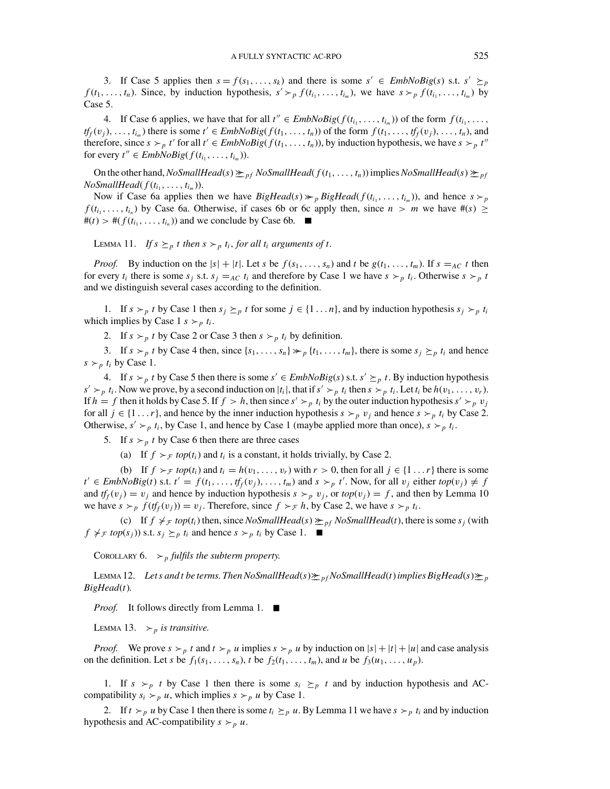3. If Case 5 applies then  $s = f(s_1, \ldots, s_k)$  and there is some  $s' \in \mathit{EmbNoBig}(s)$  s.t.  $s' \succeq_p$  $f(t_1, \ldots, t_n)$ . Since, by induction hypothesis,  $s' \succ_p f(t_{i_1}, \ldots, t_{i_m})$ , we have  $s \succ_p f(t_{i_1}, \ldots, t_{i_m})$  by Case 5.

4. If Case 6 applies, we have that for all  $t'' \in EmbNoBig(f(t_{i_1}, \ldots, t_{i_m})\big)$  of the form  $f(t_{i_1}, \ldots, t_{i_m})$  $tf_f(v_i), \ldots, t_{i_m}$ ) there is some  $t' \in EmbNoBig(f(t_1, \ldots, t_n))$  of the form  $f(t_1, \ldots, t_f(v_i), \ldots, t_n)$ , and therefore, since  $s > p$  *t'* for all  $t' \in EmbNoBig(f(t_1, ..., t_n))$ , by induction hypothesis, we have  $s > p$  *t''* for every  $t'' \in EmbNoBig(f(t_{i_1}, \ldots, t_{i_m}))$ .

On the other hand,  $NoSmallHead(s) \geq_{pf} NoSmallHead(f(t_1, ..., t_n))$  implies  $NoSmallHead(s) \geq_{pf}$  $NoSmallHead(f(t_{i_1}, \ldots, t_{i_m})).$ 

Now if Case 6a applies then we have  $BigHead(s) \gg_{p} BigHead(f(t_{i_1},...,t_{i_m}))$ , and hence  $s \succ_{p}$  $f(t_{i_1}, \ldots, t_{i_n})$  by Case 6a. Otherwise, if cases 6b or 6c apply then, since  $n > m$  we have  $\#(s) \geq$  $#(t) > #( f(t_{i_1}, \ldots, t_{i_n}) )$  and we conclude by Case 6b. 

LEMMA 11. *If*  $s \geq p$  *t* then  $s \geq p$  *t<sub>i</sub>*, *for all t<sub>i</sub> arguments of t.* 

*Proof.* By induction on the  $|s| + |t|$ . Let *s* be  $f(s_1, \ldots, s_n)$  and *t* be  $g(t_1, \ldots, t_m)$ . If  $s =_{AC} t$  then for every  $t_i$  there is some  $s_j$  s.t.  $s_j =_{AC} t_i$  and therefore by Case 1 we have  $s >_{p} t_i$ . Otherwise  $s >_{p} t$ and we distinguish several cases according to the definition.

1. If  $s > p$  *t* by Case 1 then  $s_j \succeq_p t$  for some  $j \in \{1 \dots n\}$ , and by induction hypothesis  $s_j > p$   $t_i$ which implies by Case 1  $s > p$   $t_i$ .

2. If  $s > p$  *t* by Case 2 or Case 3 then  $s > p$  *t<sub>i</sub>* by definition.

3. If  $s > p$  *t* by Case 4 then, since  $\{s_1, \ldots, s_n\} \gg p \{t_1, \ldots, t_m\}$ , there is some  $s_j \succeq_p t_i$  and hence  $s \succ p$  *t<sub>i</sub>* by Case 1.

4. If  $s > p$  *t* by Case 5 then there is some  $s' \in EmbNOBig(s)$  s.t.  $s' \geq p$  *t*. By induction hypothesis  $s' \succ_{p} t_i$ . Now we prove, by a second induction on  $|t_i|$ , that if  $s' \succ_{p} t_i$  then  $s \succ_{p} t_i$ . Let  $t_i$  be  $h(v_1, \ldots, v_r)$ . If  $h = f$  then it holds by Case 5. If  $f > h$ , then since  $s' > p t_i$  by the outer induction hypothesis  $s' > p v_i$ for all  $j \in \{1 \dots r\}$ , and hence by the inner induction hypothesis  $s \succ_p v_j$  and hence  $s \succ_p t_j$  by Case 2. Otherwise,  $s' \succ p t_i$ , by Case 1, and hence by Case 1 (maybe applied more than once),  $s \succ p t_i$ .

5. If  $s > p$  *t* by Case 6 then there are three cases

(a) If  $f \succ_{\mathcal{F}} top(t_i)$  and  $t_i$  is a constant, it holds trivially, by Case 2.

(b) If  $f \succ_{\mathcal{F}} top(t_i)$  and  $t_i = h(v_1, \ldots, v_r)$  with  $r > 0$ , then for all  $j \in \{1 \ldots r\}$  there is some  $t' \in \mathbb{R}$  *the NoBig*(*t*) s.t.  $t' = f(t_1, \ldots, t_f(t_j), \ldots, t_m)$  and  $s \succ_p t'$ . Now, for all  $v_j$  either  $top(v_j) \neq f$ and  $tf_f(v_i) = v_i$  and hence by induction hypothesis  $s \succ_p v_i$ , or  $top(v_i) = f$ , and then by Lemma 10 we have  $s \succ_p f(t f_f(v_i)) = v_i$ . Therefore, since  $f \succ_f h$ , by Case 2, we have  $s \succ_p t_i$ .

(c) If  $f \neq f$  *top*( $t_i$ ) then, since *NoSmallHead*( $s$ )  $\geq_{pf}$  *NoSmallHead*( $t$ ), there is some  $s_j$  (with  $f \neq f$  *top* $(s_i)$  *s.t.*  $s_i \geq p$  *t<sub>i</sub>* and hence  $s \geq p$  *t<sub>i</sub>* by Case 1.

COROLLARY 6.  $\succ_p$  fulfils the subterm property.

LEMMA 12. Let s and t be terms. Then NoSmallHead(s) $\geq_{\text{nf}}$ NoSmallHead(t) implies BigHead(s) $\geq_{\text{nf}}$ *BigHead*(*t*)*.*

*Proof.* It follows directly from Lemma 1. **I** 

LEMMA 13.  $\succ_p$  *is transitive.* 

*Proof.* We prove  $s > p$  *t* and  $t > p$  *u* implies  $s > p$  *u* by induction on  $|s| + |t| + |u|$  and case analysis on the definition. Let *s* be  $f_1(s_1, \ldots, s_n)$ , *t* be  $f_2(t_1, \ldots, t_m)$ , and *u* be  $f_3(u_1, \ldots, u_p)$ .

1. If  $s > p$  *t* by Case 1 then there is some  $s_i \geq p$  *t* and by induction hypothesis and ACcompatibility  $s_i \succ_p u$ , which implies  $s \succ_p u$  by Case 1.

2. If  $t > p$  *u* by Case 1 then there is some  $t_i \geq p$  *u*. By Lemma 11 we have  $s > p$   $t_i$  and by induction hypothesis and AC-compatibility  $s > p$  *u*.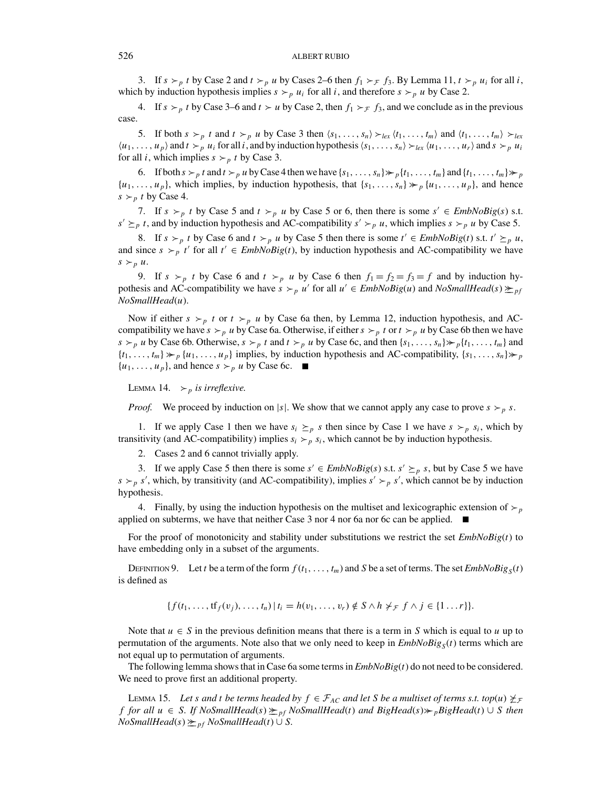3. If  $s > p$  *t* by Case 2 and  $t > p$  *u* by Cases 2–6 then  $f_1 > f_3$ . By Lemma 11,  $t > p$  *u<sub>i</sub>* for all *i*, which by induction hypothesis implies  $s \succ p u_i$  for all *i*, and therefore  $s \succ p u$  by Case 2.

4. If  $s > p$  *t* by Case 3–6 and  $t > u$  by Case 2, then  $f_1 \succ_f f_3$ , and we conclude as in the previous case.

5. If both  $s > p$  *t* and  $t > p$  *u* by Case 3 then  $\langle s_1, \ldots, s_n \rangle >_{lex} \langle t_1, \ldots, t_m \rangle$  and  $\langle t_1, \ldots, t_m \rangle >_{lex}$  $\langle u_1, \ldots, u_p \rangle$  and  $t >_p u_i$  for all *i*, and by induction hypothesis  $\langle s_1, \ldots, s_n \rangle >_{lex} \langle u_1, \ldots, u_r \rangle$  and  $s >_p u_i$ for all *i*, which implies  $s \succ_p t$  by Case 3.

6. If both  $s \succ_p t$  and  $t \succ_p u$  by Case 4 then we have  $\{s_1, \ldots, s_n\} \succ_p \{t_1, \ldots, t_m\}$  and  $\{t_1, \ldots, t_m\} \succ_p$  $\{u_1, \ldots, u_p\}$ , which implies, by induction hypothesis, that  $\{s_1, \ldots, s_n\} \gg_p \{u_1, \ldots, u_p\}$ , and hence  $s \succ_p t$  by Case 4.

7. If  $s > p$  *t* by Case 5 and  $t > p$  *u* by Case 5 or 6, then there is some  $s' \in EmbNOBig(s)$  s.t.  $s' \geq p$  *t*, and by induction hypothesis and AC-compatibility  $s' \geq p$  *u*, which implies  $s \geq p$  *u* by Case 5.

8. If  $s > p$  *t* by Case 6 and  $t > p$  *u* by Case 5 then there is some  $t' \in EmbN oBig(t)$  s.t.  $t' \succeq_{p} u$ , and since  $s > p$  *t'* for all  $t' \in EmbNoBig(t)$ , by induction hypothesis and AC-compatibility we have  $s > p$  *u*.

9. If  $s > p$  *t* by Case 6 and  $t > p$  *u* by Case 6 then  $f_1 = f_2 = f_3 = f$  and by induction hypothesis and AC-compatibility we have  $s > p$  *u'* for all  $u' \in EmbNoBig(u)$  and  $NoSmallHead(s) \geq_{pf}$ *NoSmallHead*(*u*).

Now if either  $s > p$  *t* or  $t > p$  *u* by Case 6a then, by Lemma 12, induction hypothesis, and ACcompatibility we have  $s > p$  *u* by Case 6a. Otherwise, if either  $s > p$  *t* or  $t > p$  *u* by Case 6b then we have  $s > p$  *u* by Case 6b. Otherwise,  $s > p$  *t* and  $t > p$  *u* by Case 6c, and then  $\{s_1, \ldots, s_n\} \gg p \{t_1, \ldots, t_m\}$  and  ${t_1, \ldots, t_m} \gg_p {u_1, \ldots, u_p}$  implies, by induction hypothesis and AC-compatibility,  ${s_1, \ldots, s_n} \gg_p$  $\{u_1, \ldots, u_n\}$ , and hence  $s \succ_p u$  by Case 6c.

LEMMA 14.  $\succ_p$  *is irreflexive.* 

*Proof.* We proceed by induction on |*s*|. We show that we cannot apply any case to prove  $s \succ_p s$ .

1. If we apply Case 1 then we have  $s_i \geq_p s$  then since by Case 1 we have  $s \succ_p s_i$ , which by transitivity (and AC-compatibility) implies  $s_i \succ_p s_i$ , which cannot be by induction hypothesis.

2. Cases 2 and 6 cannot trivially apply.

If we apply Case 5 then there is some *s'* ∈ *EmbNoBig(s)* s.t. *s'*  $\geq$ <sub>*p*</sub> *s*, but by Case 5 we have  $s \succ_p s'$ , which, by transitivity (and AC-compatibility), implies  $s' \succ_p s'$ , which cannot be by induction hypothesis.

4. Finally, by using the induction hypothesis on the multiset and lexicographic extension of  $\succ_p$ applied on subterms, we have that neither Case 3 nor 4 nor 6a nor 6c can be applied.

For the proof of monotonicity and stability under substitutions we restrict the set *EmbNoBig*(*t*) to have embedding only in a subset of the arguments.

DEFINITION 9. Let *t* be a term of the form  $f(t_1, \ldots, t_m)$  and *S* be a set of terms. The set *EmbNoBig<sub>S</sub>*(*t*) is defined as

$$
\{f(t_1,\ldots,\operatorname{tf}_f(v_j),\ldots,t_n)\,\big|\,t_i=h(v_1,\ldots,v_r)\notin S\wedge h\neq_f f\wedge j\in\{1\ldots r\}\}.
$$

Note that  $u \in S$  in the previous definition means that there is a term in *S* which is equal to *u* up to permutation of the arguments. Note also that we only need to keep in  $EmbNoBig<sub>S</sub>(t)$  terms which are not equal up to permutation of arguments.

The following lemma shows that in Case 6a some terms in *EmbNoBig*(*t*) do not need to be considered. We need to prove first an additional property.

LEMMA 15. Let s and t be terms headed by  $f \in \mathcal{F}_{AC}$  and let S be a multiset of terms s.t. top(*u*)  $\not\geq_{\mathcal{F}}$ *f for all u* ∈ *S. If NoSmallHead*(*s*)  $\geq_{pf}$  *NoSmallHead*(*t*) *and BigHead*(*s*)  $\gg_{p}$ *BigHead*(*t*) ∪ *S then NoSmallHead*(*s*)  $\geq_{pf}$  *NoSmallHead*(*t*) ∪ *S*.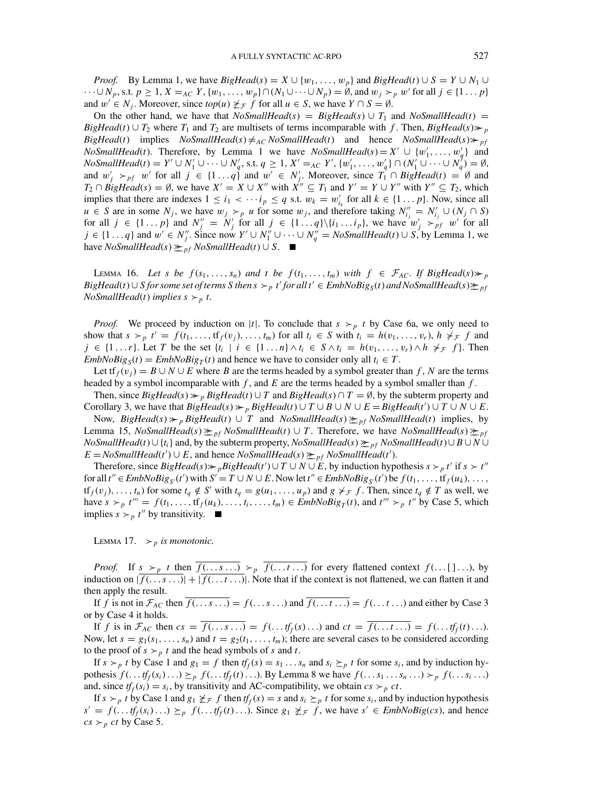*Proof.* By Lemma 1, we have  $BigHead(s) = X \cup \{w_1, \ldots, w_p\}$  and  $Bighead(t) \cup S = Y \cup N_1 \cup$  $\cdots \cup N_p$ , s.t.  $p \ge 1$ ,  $X =_{AC} Y$ ,  $\{w_1, \ldots, w_p\} \cap (N_1 \cup \cdots \cup N_p) = \emptyset$ , and  $w_j \succ_p w'$  for all  $j \in \{1 \ldots p\}$ and  $w' \in N_j$ . Moreover, since  $top(u) \not\geq_{\mathcal{F}} f$  for all  $u \in S$ , we have  $Y \cap S = \emptyset$ .

On the other hand, we have that *NoSmallHead*(*s*) =  $BigHead(s) \cup T_1$  and *NoSmallHead*(*t*) = *BigHead*(*t*) ∪ *T*<sub>2</sub> where *T*<sub>1</sub> and *T*<sub>2</sub> are multisets of terms incomparable with *f*. Then, *BigHead*(*s*) $\gg$ <sub>*p*</sub> *BigHead*(*t*) implies *NoSmallHead*(*s*)  $\neq$ <sub>*AC</sub> NoSmallHead*(*t*) and hence *NoSmallHead*(*s*) $\gg$ <sub>*pf*</sub></sub> *NoSmallHead*(*t*). Therefore, by Lemma 1 we have *NoSmallHead*(*s*) =  $X' \cup \{w'_1, \ldots, w'_q\}$  and *NoSmallHead*(*t*) = *Y*′∪ *N*<sup>'</sup><sub>1</sub></sub> ∪ ···∪ *N*<sub>'q</sub>', s.t. *q* ≥ 1, *X'* =<sub>AC</sub> *Y'*, {w<sub>'1</sub>, ..., w<sub>'q</sub>} ∩ (*N*'<sub>1</sub>′ ∪ ···∪ *N*'<sub>q</sub>') = ∅, and  $w'_j \succ_{pf} w'$  for all  $j \in \{1 \dots q\}$  and  $w' \in N'_j$ . Moreover, since  $T_1 \cap BigHead(t) = \emptyset$  and  $T_2 \cap BigHead(s) = \emptyset$ , we have  $X' = X \cup X''$  with  $X'' \subseteq T_1$  and  $Y' = Y \cup Y''$  with  $Y'' \subseteq T_2$ , which implies that there are indexes  $1 \le i_1 < \cdots i_p \le q$  s.t.  $w_k = w'_{i_k}$  for all  $k \in \{1 \dots p\}$ . Now, since all *u* ∈ *S* are in some *N<sub>j</sub>*, we have  $w_j$   $\succ_p$  *u* for some  $w_j$ , and therefore taking  $N''_{i_j} = N'_{i_j} \cup (N_j \cap S)$ for all  $j \in \{1 \dots p\}$  and  $N_j'' = N_j'$  for all  $j \in \{1 \dots q\} \setminus \{i_1 \dots i_p\}$ , we have  $w_j' > p_j w'$  for all *j* ∈ {1... *q*} and  $w' \in N''_j$ . Since now  $Y' \cup N''_1 \cup \cdots \cup N''_q = NoSmallHead(t) \cup S$ , by Lemma 1, we have *NoSmallHead*(*s*)  $\geq$  *pf NoSmallHead*(*t*) ∪ *S*. ■

LEMMA 16. Let s be  $f(s_1, \ldots, s_n)$  and t be  $f(t_1, \ldots, t_m)$  with  $f \in \mathcal{F}_{AC}$ . If BigHead(s) $\gg_p$ *BigHead*(*t*)∪ *S* for some set of terms S then  $s > p$  t' for all  $t' \in EmbN \text{ o } Big$ <sub>S</sub>(*t*) and NoSmallHead(*s*) $\geq_{p}$ *NoSmallHead*(*t*) *implies*  $s > p$  *t.* 

*Proof.* We proceed by induction on |t|. To conclude that  $s \succ_p t$  by Case 6a, we only need to show that  $s > p$   $t' = f(t_1, \ldots, t f_f(v_i), \ldots, t_m)$  for all  $t_i \in S$  with  $t_i = h(v_1, \ldots, v_r)$ ,  $h \neq f$  and *j* ∈ {1...*r*}. Let *T* be the set { $t_i$  | *i* ∈ {1...*n*} ∧  $t_i$  ∈  $S \wedge t_i$  =  $h(v_1, \ldots, v_r) \wedge h \neq_f$  {}. Then *EmbNoBig<sub>S</sub>*(*t*) = *EmbNoBig<sub>T</sub>*(*t*) and hence we have to consider only all  $t_i \in T$ .

Let  $\text{tf}_f(v_i) = B \cup N \cup E$  where *B* are the terms headed by a symbol greater than *f*, *N* are the terms headed by a symbol incomparable with *f* , and *E* are the terms headed by a symbol smaller than *f* .

Then, since  $BigHead(s) \rightarrow p$   $BigHead(t) \cup T$  and  $BigHead(s) \cap T = \emptyset$ , by the subterm property and Corollary 3, we have that  $BigHead(s) \rightharpoonup_{p} BigHead(t) \cup T \cup B \cup N \cup E = BigHead(t') \cup T \cup N \cup E$ .

Now, *BigHead*(*s*)  $\gg$  *p BigHead*(*t*) ∪ *T* and *NoSmallHead*(*s*)  $\geq$  *pf NoSmallHead*(*t*) implies, by Lemma 15, *NoSmallHead*(*s*)  $\geq_{pf}$  *NoSmallHead*(*t*) ∪ *T*. Therefore, we have *NoSmallHead*(*s*)  $\geq_{pf}$ *NoSmallHead*(*t*)∪ {*t<sub>i</sub>*} and, by the subterm property, *NoSmallHead*(*s*)  $\geq_{pf}$  *NoSmallHead*(*t*)∪ *B* ∪ *N* ∪  $E = NoSmallHead(t') \cup E$ , and hence *NoSmallHead*(*s*)  $\geq_{pf} NoSmallHead(t')$ .

Therefore, since  $BigHead(s) \gg_{p} BigHead(t') \cup T \cup N \cup E$ , by induction hypothesis  $s \succ_{p} t'$  if  $s > t''$  $\text{for all } t'' \in \text{EmbNoBig}_{S'}(t') \text{ with } S' = T \cup N \cup E. \text{ Now let } t'' \in \text{EmbNoBig}_{S'}(t') \text{ be } f(t_1, \ldots, t f_f(u_k), \ldots, t f_f(u_k))$  $\text{tf}_f(v_i), \ldots, t_n$  for some  $t_q \notin S'$  with  $t_q = g(u_1, \ldots, u_p)$  and  $g \neq f$ . Then, since  $t_q \notin T$  as well, we have  $s > p$   $t''' = f(t_1, \ldots, t_f(u_k), \ldots, t_i, \ldots, t_m) \in EmbNoBig_T(t)$ , and  $t''' > p$   $t''$  by Case 5, which implies  $s \succ_p t''$  by transitivity.  $\blacksquare$ 

LEMMA 17.  $\succ_p$  *is monotonic.* 

*Proof.* If  $s > p$  *t* then  $f(\dots s \dots) > p$   $f(\dots t \dots)$  for every flattened context  $f(\dots []\dots)$ , by induction on  $|f(\ldots s \ldots)|+|f(\ldots t \ldots)|$ . Note that if the context is not flattened, we can flatten it and then apply the result.

If *f* is not in  $\mathcal{F}_{AC}$  then  $\overline{f(\ldots s \ldots)} = f(\ldots s \ldots)$  and  $\overline{f(\ldots t \ldots)} = f(\ldots t \ldots)$  and either by Case 3 or by Case 4 it holds.

If *f* is in  $\mathcal{F}_{AC}$  then  $cs = \overline{f(...s...)} = f(...tf_f(s)...)$  and  $ct = \overline{f(...t...)} = f(...tf_f(t)...)$ . Now, let  $s = g_1(s_1, \ldots, s_n)$  and  $t = g_2(t_1, \ldots, t_m)$ ; there are several cases to be considered according to the proof of  $s \succ p$  *t* and the head symbols of *s* and *t*.

If  $s > p$  *t* by Case 1 and  $g_1 = f$  then  $tf_f(s) = s_1 \dots s_n$  and  $s_i \geq p$  *t* for some  $s_i$ , and by induction hypothesis  $f(\ldots tf_f(s_i)\ldots) \succeq_p f(\ldots tf_f(t)\ldots)$ . By Lemma 8 we have  $f(\ldots s_1 \ldots s_n \ldots) \succ_p f(\ldots s_i \ldots)$ and, since  $tf_f(s_i) = s_i$ , by transitivity and AC-compatibility, we obtain  $cs \succ_p ct$ .

If  $s > p$  *t* by Case 1 and  $g_1 \nleq f$  *f* then  $tf_f(s) = s$  and  $s_i \nleq p$  *t* for some  $s_i$ , and by induction hypothesis  $s' = f($ ... *tf<sub>f</sub>*( $s_i$ ) ...) ≥<sub>*p*</sub>  $f($ ... *tf<sub>f</sub>*( $t$ ) ...). Since  $g_1 \nleq$  *f*, we have  $s' \n∈ \text{EmbNoBig}(cs)$ , and hence  $cs \succ_p ct$  by Case 5.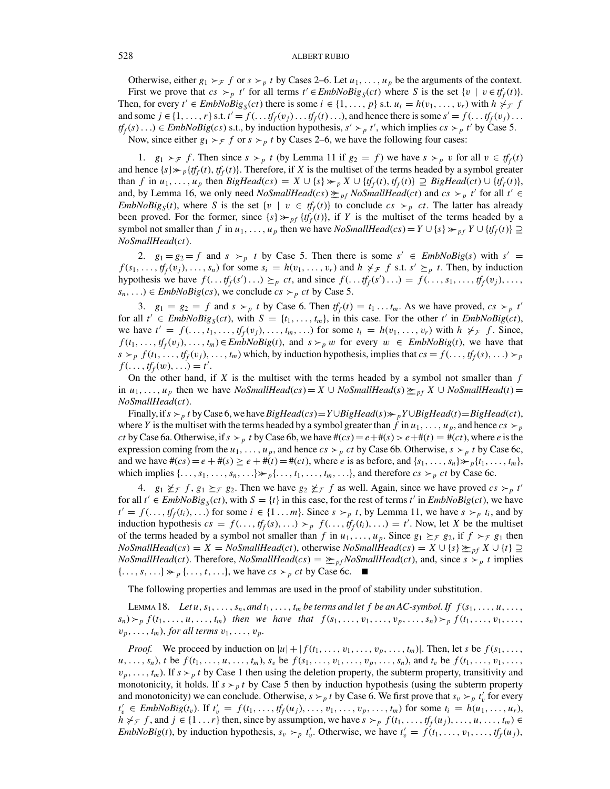Otherwise, either  $g_1 \succ_f f$  or  $s \succ_p t$  by Cases 2–6. Let  $u_1, \ldots, u_p$  be the arguments of the context. First we prove that  $cs > p$  *t'* for all terms  $t' \in EmbNoBig_S(ct)$  where *S* is the set  $\{v \mid v \in tf_f(t)\}.$ Then, for every  $t' \in \mathcal{E}mbNoBig(s(t)$  there is some  $i \in \{1, \ldots, p\}$  s.t.  $u_i = h(v_1, \ldots, v_r)$  with  $h \neq r$  f and some  $j \in \{1, \ldots, r\}$  s.t.  $t' = f(\ldots tf_f(v_i) \ldots tf_f(t) \ldots)$ , and hence there is some  $s' = f(\ldots tf_f(v_i) \ldots$ *tf*<sub>*f*</sub>(*s*)...) ∈ *EmbNoBig*(*cs*) s.t., by induction hypothesis, *s'*  $>_{p}$  *t'*, which implies *cs*  $>_{p}$  *t'* by Case 5. Now, since either  $g_1 \succ_f f$  or  $s \succ_p t$  by Cases 2–6, we have the following four cases:

1.  $g_1 \succ_{\mathcal{F}} f$ . Then since  $s \succ_{p} t$  (by Lemma 11 if  $g_2 = f$ ) we have  $s \succ_{p} v$  for all  $v \in tf_f(t)$ and hence  ${s}$ *}* $\gg$ <sub>*p*</sub>{*tf<sub>f</sub>*(*t*), *tf<sub>f</sub>*(*t*)}. Therefore, if *X* is the multiset of the terms headed by a symbol greater than f in  $u_1, \ldots, u_p$  then BigHead(cs) =  $X \cup \{s\} \succcurlyeq_p X \cup \{tf_f(t), tf_f(t)\} \supseteq BigHead(ct) \cup \{tf_f(t)\},$ and, by Lemma 16, we only need *NoSmallHead*(*cs*)  $\geq_{pf}$  *NoSmallHead*(*ct*) and *cs*  $\geq_{p}$  *t'* for all *t'*  $\in$ *EmbNoBig<sub>S</sub>*(*t*), where *S* is the set {v | v ∈ *tf<sub>f</sub>*(*t*)} to conclude *cs > p ct*. The latter has already been proved. For the former, since  $\{s\} \rightarrow p_f$   $\{tf_f(t)\}$ , if *Y* is the multiset of the terms headed by a symbol not smaller than *f* in  $u_1, \ldots, u_p$  then we have *NoSmallHead*(*cs*) = *Y* ∪ {*s*}  $\gg_{pf}$  *Y* ∪ {*tf<sub>f</sub>*(*t*)} ⊇ *NoSmallHead*(*ct*).

2.  $g_1 = g_2 = f$  and  $s >_p t$  by Case 5. Then there is some  $s' \in \mathbb{R}$  *exhologieis*) with  $s' = f$  $f(s_1, \ldots, tf_f(v_j), \ldots, s_n)$  for some  $s_i = h(v_1, \ldots, v_r)$  and  $h \neq f$  s.t.  $s' \geq_p t$ . Then, by induction hypothesis we have  $f(\ldots tf_f(s')\ldots) \succeq_p ct$ , and since  $f(\ldots tf_f(s')\ldots) = f(\ldots, s_1, \ldots, tf_f(v_j), \ldots)$  $s_n$ ,...)  $\in$  *EmbNoBig(cs)*, we conclude  $cs \succ_p ct$  by Case 5.

3.  $g_1 = g_2 = f$  and  $s \succ_p t$  by Case 6. Then  $tf_f(t) = t_1 \dots t_m$ . As we have proved,  $cs \succ_p t'$ for all  $t' \in \mathit{EmbNoBig}_{S}(ct)$ , with  $S = \{t_1, \ldots, t_m\}$ , in this case. For the other  $t'$  in  $\mathit{EmbNoBig}(ct)$ , we have  $t' = f(\ldots, t_1, \ldots, t_f(v_j), \ldots, t_m, \ldots)$  for some  $t_i = h(v_1, \ldots, v_r)$  with  $h \nsucc_f f$ . Since,  $f(t_1,\ldots,t_f(v_i),\ldots,t_m) \in \mathit{EmbNoBig}(t)$ , and  $s \succ_p w$  for every  $w \in \mathit{EmbNoBig}(t)$ , we have that  $s \succ_p f(t_1,\ldots,t_f(t(v_i),\ldots,t_m)$  which, by induction hypothesis, implies that  $cs = f(\ldots,t_f(s),\ldots) \succ_p$  $f(\ldots, tf_{f}(w), \ldots) = t'.$ 

On the other hand, if *X* is the multiset with the terms headed by a symbol not smaller than *f* in *u*<sub>1</sub>, ..., *u<sub>p</sub>* then we have *NoSmallHead*(*cs*) = *X* ∪ *NoSmallHead*(*s*)  $\geq_{pf}$  *X* ∪ *NoSmallHead*(*t*) = *NoSmallHead*(*ct*).

Finally, if *s*  $> p$  *t* by Case 6, we have *BigHead*(*cs*)=*Y*∪*BigHead*(*s*) $\gg p$ *Y*∪*BigHead*(*t*)=*BigHead*(*ct*), where *Y* is the multiset with the terms headed by a symbol greater than  $f$  in  $u_1, \ldots, u_p$ , and hence  $cs \succ_p$ *ct* by Case 6a. Otherwise, if  $s > p$  *t* by Case 6b, we have  $\# (cs) = e + \# (s) > e + \# (t) = \# (ct)$ , where *e* is the expression coming from the  $u_1, \ldots, u_p$ , and hence  $cs \succ_p ct$  by Case 6b. Otherwise,  $s \succ_p t$  by Case 6c, and we have  $# (cs) = e + #(s) \ge e + #( t) = #(ct)$ , where *e* is as before, and  $\{s_1, \ldots, s_n\} \rightarrow_{p} \{t_1, \ldots, t_m\}$ , which implies  $\{ \ldots, s_1, \ldots, s_n, \ldots \} \gg p \{ \ldots, t_1, \ldots, t_m, \ldots \}$ , and therefore  $cs \succ_p ct$  by Case 6c.

4.  $g_1 \nleq_f f, g_1 \nleq_f g_2$ . Then we have  $g_2 \nleq_f f$  as well. Again, since we have proved  $cs \nhd_p t'$ for all  $t' \in EmbNoBig_S(ct)$ , with  $S = \{t\}$  in this case, for the rest of terms  $t'$  in  $EmbNoBig_S(ct)$ , we have  $t' = f(\ldots, tf_f(t_i), \ldots)$  for some  $i \in \{1 \ldots m\}$ . Since  $s > p$  t, by Lemma 11, we have  $s > p$   $t_i$ , and by induction hypothesis  $cs = f(\ldots, tf_f(s), \ldots) \succ_p f(\ldots, tf_f(t_i), \ldots) = t'$ . Now, let *X* be the multiset of the terms headed by a symbol not smaller than *f* in  $u_1, \ldots, u_p$ . Since  $g_1 \succeq_F g_2$ , if  $f \succ_F g_1$  then *NoSmallHead*(*cs*) = *X* = *NoSmallHead*(*ct*), otherwise *NoSmallHead*(*cs*) = *X* ∪ {*s*}  $\geq_{pf}$  *X* ∪ {*t*} *NoSmallHead(ct).* Therefore, *NoSmallHead(cs)* =  $\geq_{pf}$ *NoSmallHead(ct)*, and, since  $s \succ_p t$  implies  $\{\ldots, s, \ldots\} \gg_p \{\ldots, t, \ldots\}$ , we have  $cs \succ_p ct$  by Case 6c.  $\blacksquare$ 

The following properties and lemmas are used in the proof of stability under substitution.

LEMMA 18. Let  $u, s_1, \ldots, s_n$ , and  $t_1, \ldots, t_m$  be terms and let f be an AC-symbol. If  $f(s_1, \ldots, u, \ldots,$  $s_n$ )  $\succ_p$   $f(t_1, \ldots, u, \ldots, t_m)$  then we have that  $f(s_1, \ldots, v_1, \ldots, v_p, \ldots, s_n)$   $\succ_p$   $f(t_1, \ldots, v_1, \ldots, t_m)$  $v_p, \ldots, t_m$ , *for all terms*  $v_1, \ldots, v_p$ .

*Proof.* We proceed by induction on  $|u| + |f(t_1, \ldots, v_1, \ldots, v_p, \ldots, t_m)|$ . Then, let *s* be  $f(s_1, \ldots, s_n)$  $u_1, \ldots, s_n$ , *t* be  $f(t_1, \ldots, u, \ldots, t_m)$ ,  $s_v$  be  $f(s_1, \ldots, v_1, \ldots, s_n)$ , and  $t_v$  be  $f(t_1, \ldots, v_1, \ldots, s_n)$  $v_p, \ldots, t_m$ ). If  $s > p$  *t* by Case 1 then using the deletion property, the subterm property, transitivity and monotonicity, it holds. If  $s \succ p t$  by Case 5 then by induction hypothesis (using the subterm property and monotonicity) we can conclude. Otherwise,  $s \succ_p t$  by Case 6. We first prove that  $s_v \succ_p t'_v$  for every  $t'_{v} \in \text{EmbNoBig}(t_{v})$ . If  $t'_{v} = f(t_{1},...,t_{f}(u_{j}),...,v_{1},...,v_{p},...,t_{m})$  for some  $t_{i} = h(u_{1},...,u_{r})$ ,  $h \neq f$ , and  $j \in \{1 \dots r\}$  then, since by assumption, we have  $s > p$   $f(t_1, \dots, t_f(u_i), \dots, u, \dots, t_m) \in$ *EmbNoBig*(*t*), by induction hypothesis,  $s_v \succ_p t'_v$ . Otherwise, we have  $t'_v = f(t_1, \ldots, v_1, \ldots, t_f(u_j)$ ,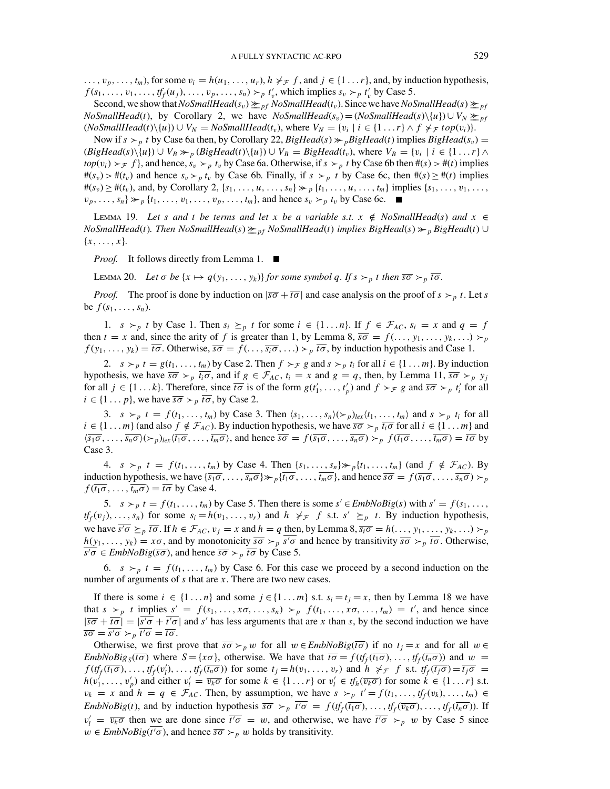$\dots, v_p, \dots, t_m$ , for some  $v_i = h(u_1, \dots, u_r)$ ,  $h \neq r$ , and  $j \in \{1 \dots r\}$ , and, by induction hypothesis,  $f(s_1, \ldots, v_1, \ldots, tf_f(u_j), \ldots, v_p, \ldots, s_n) \succ_p t'_v$ , which implies  $s_v \succ_p t'_v$  by Case 5.

Second, we show that  $NoSmallHead(s_v) \geq_{pf} NoSmallHead(t_v)$ . Since we have  $NoSmallHead(s) \geq_{pf}$ *NoSmallHead*(*t*), by Corollary 2, we have *NoSmallHead*( $s_v$ ) = (*NoSmallHead*( $s \setminus \{u\}$ )∪  $V_N \geq_{pf}$  $(NoSmallHead(t)\{u\}) \cup V_N = NoSmallHead(t_v)$ , where  $V_N = \{v_i \mid i \in \{1 \dots r\} \land f \neq f \cdot top(v_i)\}.$ 

Now if  $s > p$  *t* by Case 6a then, by Corollary 22, *BigHead*( $s$ )  $\gg$  *pBigHead*( $t$ ) implies *BigHead*( $s_v$ ) =  $(BigHead(s)\{u\}) \cup V_B \rightarrow p(BigHead(t)\{u\}) \cup V_B = BigHead(t_v)$ , where  $V_B = \{v_i \mid i \in \{1 \dots r\} \land V_B = \{u_i\} \cup V_B = \{v_i\} \cup V_B = \{v_i\} \cup V_B = \{v_i\} \cup V_B = \{v_i\} \cup V_B = \{v_i\} \cup V_B = \{v_i\} \cup V_B = \{v_i\} \cup V_B = \{v_i\} \cup V_B = \{v_i\} \cup V_B = \{v_i\} \cup V_B = \{v_i\} \cup V_B = \{v_i\} \cup V_B = \{v_i\} \$  $top(v_i) \geq f$ , and hence,  $s_v \geq p$  *t<sub>v</sub>* by Case 6a. Otherwise, if  $s \geq p$  *t* by Case 6b then  $\#(s) > \#(t)$  implies  $#(s_v) > #(t_v)$  and hence  $s_v > p_t$  by Case 6b. Finally, if  $s > p_t$  by Case 6c, then  $#(s) \geq #(1)$  implies # $(s_v)$  ≥ # $(t_v)$ , and, by Corollary 2,  $\{s_1, ..., u, ..., s_n\}$   $\succcurlyeq_p \{t_1, ..., u, ..., t_m\}$  implies  $\{s_1, ..., v_1, ..., s_n\}$  $v_p, \ldots, s_n$   $\} \gg p \{t_1, \ldots, v_1, \ldots, v_p, \ldots, t_m\}$ , and hence  $s_v \succ_p t_v$  by Case 6c.

LEMMA 19. Let s and t be terms and let x be a variable s.t.  $x \notin N\text{oSmallHead}(s)$  and  $x \in$ *NoSmallHead*(*t*)*. Then NoSmallHead*(*s*)  $\succeq_{pt}$  *NoSmallHead*(*t*) *implies BigHead*(*s*)  $\succ_{pt}$  *BigHead*(*t*) ∪ {*x*,..., *x*}*.*

*Proof.* It follows directly from Lemma 1. ■

LEMMA 20. *Let*  $\sigma$  *be*  $\{x \mapsto q(y_1, \ldots, y_k)\}$  *for some symbol q. If*  $s \succ_p t$  *then*  $\overline{s\sigma} \succ_p \overline{t\sigma}$ *.* 

*Proof.* The proof is done by induction on  $|\overline{s\sigma} + \overline{t\sigma}|$  and case analysis on the proof of  $s \succ_p t$ . Let *s* be  $f(s_1, ..., s_n)$ .

1. *s*  $> p$  *t* by Case 1. Then  $s_i \geq p$  *t* for some  $i \in \{1...n\}$ . If  $f \in \mathcal{F}_{AC}$ ,  $s_i = x$  and  $q = f$ then  $t = x$  and, since the arity of f is greater than 1, by Lemma 8,  $\overline{s\sigma} = f(\ldots, y_1, \ldots, y_k, \ldots) >_p$  $f(y_1, \ldots, y_k) = \overline{t\sigma}$ . Otherwise,  $\overline{s\sigma} = f(\ldots, \overline{s_i\sigma}, \ldots) \succ_p \overline{t\sigma}$ , by induction hypothesis and Case 1.

2.  $s > p$   $t = g(t_1, \ldots, t_m)$  by Case 2. Then  $f \succ_{\mathcal{F}} g$  and  $s > p$   $t_i$  for all  $i \in \{1 \ldots m\}$ . By induction hypothesis, we have  $\overline{s\sigma} > p \overline{t_i\sigma}$ , and if  $g \in \mathcal{F}_{AC}$ ,  $t_i = x$  and  $g = q$ , then, by Lemma 11,  $\overline{s\sigma} > p y_j$ for all  $j \in \{1...k\}$ . Therefore, since  $\overline{t\sigma}$  is of the form  $g(t'_1,...,t'_p)$  and  $f \succ_\mathcal{F} g$  and  $\overline{s\sigma} \succ_p t'_i$  for all  $i \in \{1 \dots p\}$ , we have  $\overline{s\sigma} \succ_{p} \overline{t\sigma}$ , by Case 2.

3.  $s > p$   $t = f(t_1, \ldots, t_m)$  by Case 3. Then  $\langle s_1, \ldots, s_n \rangle \langle s_p \rangle_{l \in \mathcal{X}} \langle t_1, \ldots, t_m \rangle$  and  $s > p$   $t_i$  for all  $i \in \{1 \dots m\}$  (and also  $f \notin \mathcal{F}_{AC}$ ). By induction hypothesis, we have  $\overline{s\sigma} >_{p} \overline{t_i\sigma}$  for all  $i \in \{1 \dots m\}$  and  $\langle \overline{s_1 \sigma}, \ldots, \overline{s_n \sigma} \rangle$  $(\succ_p)_{\text{lex}}$  $\langle \overline{t_1 \sigma}, \ldots, \overline{t_m \sigma} \rangle$ , and hence  $\overline{s \sigma} = f(\overline{s_1 \sigma}, \ldots, \overline{s_n \sigma}) \succ_p f(\overline{t_1 \sigma}, \ldots, \overline{t_m \sigma}) = \overline{t \sigma}$  by Case 3.

4.  $s > p$   $t = f(t_1, \ldots, t_m)$  by Case 4. Then  $\{s_1, \ldots, s_n\} \gg p\{t_1, \ldots, t_m\}$  (and  $f \notin \mathcal{F}_{AC}$ ). By induction hypothesis, we have  $\{\overline{s_1\sigma}, \ldots, \overline{s_n\sigma}\} \gg p\{\overline{t_1\sigma}, \ldots, \overline{t_m\sigma}\}$ , and hence  $\overline{s\sigma} = f(\overline{s_1\sigma}, \ldots, \overline{s_n\sigma}) \succ p$  $f(\overline{t_1\sigma},\ldots,\overline{t_m\sigma})=\overline{t\sigma}$  by Case 4.

5.  $s > p$   $t = f(t_1, \ldots, t_m)$  by Case 5. Then there is some  $s' \in EmbNoBig(s)$  with  $s' = f(s_1, \ldots, t_m)$  $tf_f(v_j), \ldots, s_n$  for some  $s_i = h(v_1, \ldots, v_r)$  and  $h \neq f$  *f* s.t.  $s' \geq_p t$ . By induction hypothesis, we have  $\overline{s/\sigma} \succeq_{p} \overline{t\sigma}$ . If  $h \in \mathcal{F}_{AC}$ ,  $v_j = x$  and  $h = q$  then, by Lemma 8,  $\overline{s_i \sigma} = h(\ldots, y_1, \ldots, y_k, \ldots) \succ_{p}$  $h(y_1, \ldots, y_k) = x\sigma$ , and by monotonicity  $\overline{s\sigma} >_{p} \overline{s'\sigma}$  and hence by transitivity  $\overline{s\sigma} >_{p} \overline{t\sigma}$ . Otherwise,  $\overline{s'\sigma} \in \text{EmbNoBig}(\overline{s\sigma})$ , and hence  $\overline{s\sigma} \succ_p \overline{t\sigma}$  by Case 5.

6.  $s > p$   $t = f(t_1, \ldots, t_m)$  by Case 6. For this case we proceed by a second induction on the number of arguments of *s* that are *x*. There are two new cases.

If there is some  $i \in \{1 \dots n\}$  and some  $j \in \{1 \dots m\}$  s.t.  $s_i = t_j = x$ , then by Lemma 18 we have that  $s > p$  *t* implies  $s' = f(s_1, \ldots, x_{\sigma}, \ldots, s_n) > p$   $f(t_1, \ldots, x_{\sigma}, \ldots, t_m) = t'$ , and hence since  $|\overline{s\sigma} + \overline{t\sigma}| = |\overline{s'\sigma} + \overline{t'\sigma}|$  and *s'* has less arguments that are *x* than *s*, by the second induction we have  $\overline{s\sigma} = \overline{s'\sigma} > p \overline{t'\sigma} = \overline{t\sigma}.$ 

Otherwise, we first prove that  $\overline{s\sigma} >_p w$  for all  $w \in \overline{EmbNobig(\overline{t\sigma})}$  if no  $t_j = x$  and for all  $w \in \overline{t}$ *EmbNoBig<sub>S</sub></sub>*( $\overline{to}$ ) where *S* = {*x* $\sigma$ }, otherwise. We have that  $\overline{to}$  =  $f(t f_f(\overline{t_1\sigma}),...,t f_f(\overline{t_n\sigma}))$  and w =  $f(t f_f(\overline{t_1 \sigma}),..., t f_f(v'_l),..., t f_f(\overline{t_n \sigma}))$  for some  $t_j = h(v_1,...,v_r)$  and  $h \neq f$  *s.t.*  $t f_f(\overline{t_j \sigma}) = \overline{t_j \sigma}$  $h(v_1^j, \ldots, v_p^j)$  and either  $v_l^j = \overline{v_k \sigma}$  for some  $k \in \{1 \ldots r\}$  or  $v_l^j \in tf_h(\overline{v_k \sigma})$  for some  $k \in \{1 \ldots r\}$  s.t.  $v_k = x$  and  $h = q \in \mathcal{F}_{AC}$ . Then, by assumption, we have  $s \succ_p t' = f(t_1, \ldots, t_f(v_k), \ldots, t_m) \in$ *EmbNoBig*(*t*), and by induction hypothesis  $\overline{s\sigma} > p$   $\overline{t'\sigma} = f(t f_f(\overline{t_1\sigma}), \ldots, t f_f(\overline{v_k\sigma}), \ldots, t f_f(\overline{t_n\sigma}))$ . If  $v'_l = \overline{v_k \sigma}$  then <u>we</u> are done since  $\overline{t' \sigma} = w$ , and otherwise, we have  $\overline{t' \sigma} >_p w$  by Case 5 since  $w \in \frac{\text{EmbNoBig}(\overline{t'\sigma})}{\text{End} \text{hence } \overline{s\sigma} \succ_p w \text{ holds by transitivity.}}$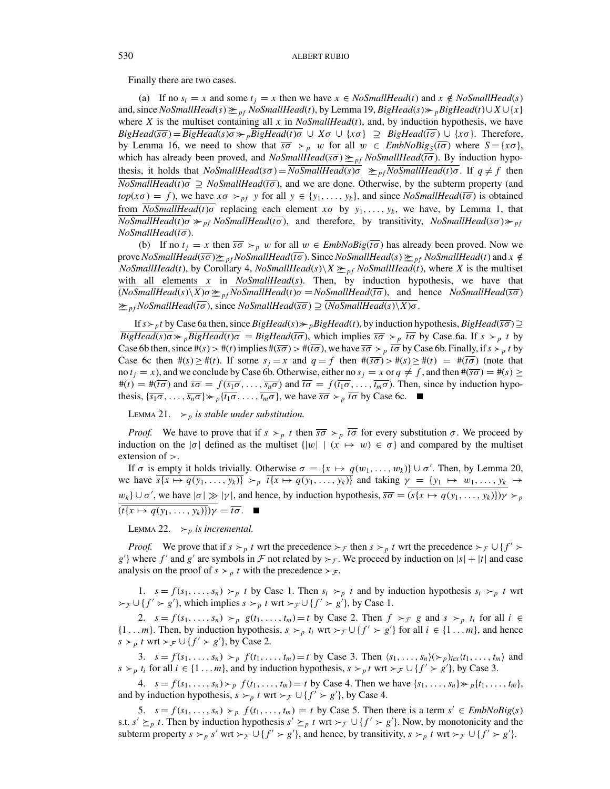Finally there are two cases.

(a) If no  $s_i = x$  and some  $t_j = x$  then we have  $x \in NoSmallHead(t)$  and  $x \notin NoSmallHead(s)$ and, since *NoSmallHead*(*s*)  $\geq_{pf}$  *NoSmallHead*(*t*), by Lemma 19, *BigHead*(*s*) $\gg_{p}$ *BigHead*(*t*)∪ *X* ∪ {*x*} where *X* is the multiset containing all  $x$  in *NoSmallHead(t)*, and, by induction hypothesis, we have  $BigHead(\overline{s\sigma}) = \overline{BigHead(s)\sigma} \gg_{p} \overline{BigHead(t)\sigma} \cup X\sigma \cup \{x\sigma\} \supseteq BigHead(\overline{t\sigma}) \cup \{x\sigma\}.$  Therefore, by Lemma 16, we need to show that  $\overline{s\sigma} >_p w$  for all  $w \in \text{EmbN} \circ \text{Big}(\overline{s})$  where  $S = \{x\sigma\}$ , which has already been proved, and *NoSmallHead*( $\overline{s\sigma}$ )  $\geq_{pf}$  *NoSmallHead*( $\overline{t\sigma}$ ). By induction hypothesis, it holds that *NoSmallHead*( $\overline{s\sigma}$ ) = *NoSmallHead*( $s$ ) $\sigma \geq_{pf}$ *NoSmallHead*( $t$ ) $\sigma$ . If  $q \neq f$  then  $\overline{NoSmallHead(t)\sigma} \supseteq NoSmallHead(\overline{to})$ , and we are done. Otherwise, by the subterm property (and  $top(x\sigma) = f$ ), we have  $x\sigma >_{pf} y$  for all  $y \in \{y_1, \ldots, y_k\}$ , and since *NoSmallHead*( $\tau \sigma$ ) is obtained from  $\overline{NoSmallHead(t)\sigma}$  replacing each element  $x\sigma$  by  $y_1, \ldots, y_k$ , we have, by Lemma 1, that *NoSmallHead*(*t*) $\sigma \gg_{pf}$ *NoSmallHead*( $\overline{t\sigma}$ ), and therefore, by transitivity, *NoSmallHead*( $\overline{s\sigma}$ ) $\gg_{pf}$ *NoSmallHead*(*t*σ).

(b) If no  $t_j = x$  then  $\overline{s\sigma} >_p w$  for all  $w \in EmbN \overline{obj(\overline{t\sigma})}$  has already been proved. Now we prove *NoSmallHead*( $\overline{s\sigma}$ ) $\geq_{pf}$ *NoSmallHead*( $\overline{t\sigma}$ ). Since *NoSmallHead*( $s$ )  $\geq_{pf}$ *NoSmallHead*( $t$ ) and  $x \notin$ *NoSmallHead(t)*, by Corollary 4, *NoSmallHead(s)*\*X*  $\succeq_{pf}$  *NoSmallHead(t)*, where *X* is the multiset with all elements *x* in *NoSmallHead*(*s*). Then, by induction hypothesis, we have that  $\overline{(NoSmallHead(s) \setminus X) \sigma \geq_{pf} \overline{NoSmallHead(t) \sigma} = NoSmallHead(\overline{to}),$  and hence  $NoSmallHead(\overline{so})$  $\geq_{\text{nf}}$ *NoSmallHead*( $\overline{to}$ ), since *NoSmallHead*( $\overline{so}$ )  $\supseteq$  (*NoSmallHead*( $s$ )\*X*) $\sigma$ .

If  $s$ *pt* by Case 6a then, since *BigHead*( $s$ ) $\gg$ <sub>p</sub>BigHead( $t$ ), by induction hypothesis, *BigHead*( $\overline{s\sigma}$ )  $\supseteq$  $Bighed(s)\sigma$  $\rightarrow$   $p$ *BigHead*(*t*) $\sigma$  = *BigHead*( $t\sigma$ ), which implies  $\overline{s\sigma}$   $\rightarrow$   $p$  *t* $\overline{\sigma}$  by Case 6a. If  $s$   $\rightarrow$   $p$  *t* by Case 6b then, since  $\#(s) > \#(t)$  implies  $\#(\overline{so}) > \#(\overline{to})$ , we have  $\overline{so} > p \overline{to}$  by Case 6b. Finally, if  $s > p$  t by Case 6c then  $\#(s) \ge \#(t)$ . If some  $s_j = x$  and  $q = f$  then  $\#(\overline{s\sigma}) > \#(s) \ge \#(t) = \#(\overline{t\sigma})$  (note that no  $t_j = x$ ), and we conclude by Case 6b. Otherwise, either no  $s_j = x$  or  $q \neq f$ , and then  $\#(\overline{s\sigma}) = \#(s) \geq$  $#(t) = #(\overline{t\sigma})$  and  $\overline{s\sigma} = f(\overline{s_1\sigma}, \ldots, \overline{s_n\sigma})$  and  $\overline{t\sigma} = f(\overline{t_1\sigma}, \ldots, \overline{t_m\sigma})$ . Then, since by induction hypothesis,  $\{\overline{s_1\sigma}, \ldots, \overline{s_n\sigma}\} \gg p \{\overline{t_1\sigma}, \ldots, \overline{t_m\sigma}\}$ , we have  $\overline{s\sigma} \succ_p \overline{t\sigma}$  by Case 6c.

LEMMA 21.  $\succ_p$  *is stable under substitution.* 

*Proof.* We have to prove that if  $s > p$  *t* then  $\overline{s\sigma} > p$   $\overline{t\sigma}$  for every substitution  $\sigma$ . We proceed by induction on the  $|\sigma|$  defined as the multiset  $\{|w| \mid (x \mapsto w) \in \sigma\}$  and compared by the multiset extension of  $>$ .

If  $\sigma$  is empty it holds trivially. Otherwise  $\sigma = \{x \mapsto q(w_1, \ldots, w_k)\} \cup \sigma'$ . Then, by Lemma 20, we have  $\overline{s\{x \mapsto q(y_1, \ldots, y_k)\}}$   $\succ_p \overline{t\{x \mapsto q(y_1, \ldots, y_k)\}}$  and taking  $\gamma = \{y_1 \mapsto w_1, \ldots, y_k \mapsto$  $w_k$ }  $\cup \sigma'$ , we have  $|\sigma| \gg |\gamma|$ , and hence, by induction hypothesis,  $\overline{s\sigma} = (\overline{s(x \mapsto q(y_1, \ldots, y_k))})\gamma > p$  $(\overline{t\{x \mapsto q(y_1, \ldots, y_k)\}})\gamma = \overline{t\sigma}.$ 

LEMMA 22.  $\succ_p$  *is incremental.* 

*Proof.* We prove that if  $s > p$  *t* wrt the precedence  $\succ_{\mathcal{F}}$  then  $s > p$  *t* wrt the precedence  $\succ_{\mathcal{F}} \cup \{f' \succ f\}$ *g*<sup>'</sup>} where *f*' and *g*' are symbols in *F* not related by  $>\mathcal{F}$ . We proceed by induction on  $|s| + |t|$  and case analysis on the proof of  $s \succ_p t$  with the precedence  $\succ_\mathcal{F}$ .

1.  $s = f(s_1, \ldots, s_n) > p$  *t* by Case 1. Then  $s_i > p$  *t* and by induction hypothesis  $s_i > p$  *t* wrt  $\succ_{\mathcal{F}} \cup \{f' \succ g'\}$ , which implies  $s \succ_{p} t$  wrt  $\succ_{\mathcal{F}} \cup \{f' \succ g'\}$ , by Case 1.

2.  $s = f(s_1, \ldots, s_n) >_p g(t_1, \ldots, t_m) = t$  by Case 2. Then  $f \succ_f g$  and  $s >_p t_i$  for all  $i \in$  $\{1 \dots m\}$ . Then, by induction hypothesis,  $s \succ_p t_i$  wrt  $\succ_{\mathcal{F}} \cup \{f' \succ g'\}$  for all  $i \in \{1 \dots m\}$ , and hence *s*  $>$  *p t* wrt  $>$  *f* ∪ { *f'*  $>$  *g'*}, by Case 2.

3.  $s = f(s_1, \ldots, s_n) \succ_p f(t_1, \ldots, t_m) = t$  by Case 3. Then  $\langle s_1, \ldots, s_n \rangle \langle \succ_p \rangle_{lex} \langle t_1, \ldots, t_m \rangle$  and *s*  $\geq p$  *t<sub>i</sub>* for all *i* ∈ {1...*m*}, and by induction hypothesis, *s*  $\geq p$  *t* wrt  $\geq f \cup \{f' \geq g'\}$ , by Case 3.

4.  $s = f(s_1, \ldots, s_n) \succ_p f(t_1, \ldots, t_m) = t$  by Case 4. Then we have  $\{s_1, \ldots, s_n\} \succ_p \{t_1, \ldots, t_m\}$ , and by induction hypothesis,  $s \succ_p t$  wrt  $\succ_\mathcal{F} \cup \{f' \succ g'\}$ , by Case 4.

5.  $s = f(s_1, \ldots, s_n) \succ_p f(t_1, \ldots, t_m) = t$  by Case 5. Then there is a term  $s' \in \mathit{EmbNoBig}(s)$ s.t.  $s' \geq_p t$ . Then by induction hypothesis  $s' \geq_p t$  wrt  $\succ_{\mathcal{F}} \cup \{f' \succ g'\}$ . Now, by monotonicity and the subterm property  $s > p$  s' wrt  $\succ_{\mathcal{F}} \cup \{f' > g'\}$ , and hence, by transitivity,  $s > p$  t wrt  $\succ_{\mathcal{F}} \cup \{f' > g'\}$ .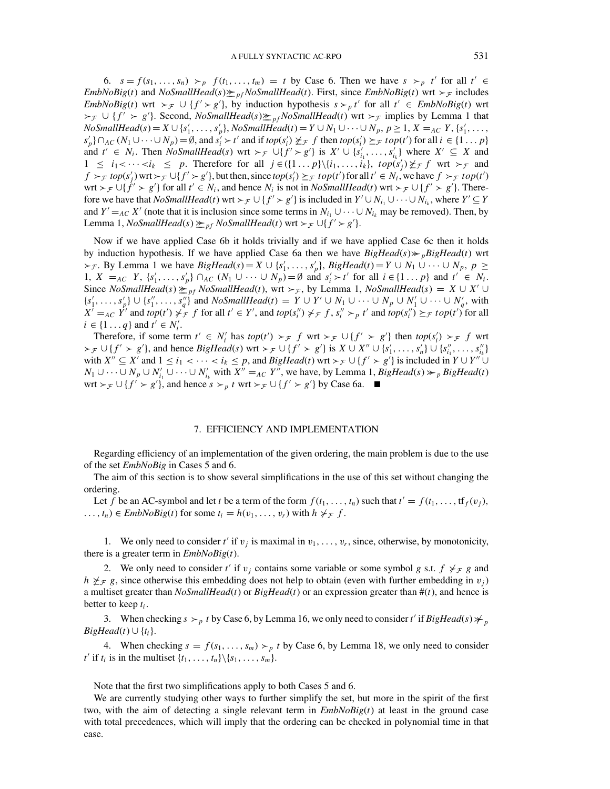6.  $s = f(s_1, \ldots, s_n) >_p f(t_1, \ldots, t_m) = t$  by Case 6. Then we have  $s >_p t'$  for all  $t' \in$ *EmbNoBig*(*t*) and *NoSmallHead*(*s*) $\geq_{pf}$ *NoSmallHead*(*t*). First, since *EmbNoBig*(*t*) wrt  $\geq_f$  includes *EmbNoBig*(*t*) wrt  $\succ$ <sub>*F*</sub>  $\cup$  {*f'*  $\succ$  *g'*}, by induction hypothesis *s*  $\succ$ <sub>*p*</sub> *t'* for all *t'* ∈ *EmbNoBig*(*t*) wrt  $\succ_{\mathcal{F}} \cup \{f' \succ g'\}$ . Second, *NoSmallHead*(*s*) $\succ_{pf}$ *NoSmallHead*(*t*) wrt  $\succ_{\mathcal{F}}$  implies by Lemma 1 that *NoSmallHead*(*s*) = *X* ∪ {*s*<sup>1</sup>,...,*s*<sup> $h$ </sup><sub>*p*</sub>}, *NoSmallHead*(*t*) = *Y* ∪ *N*<sub>1</sub> ∪ ···∪ *N*<sub>p</sub>, *p* ≥ 1, *X* =<sub>*AC*</sub> *Y*, {*s*<sup>1</sup><sub>1</sub>,...,  $s'_p$   $\cap_{AC} (N_1 \cup \cdots \cup N_p) = \emptyset$ , and  $s'_i \succ t'$  and if  $top(s'_i) \not\geq_f f$  then  $top(s'_i) \geq_f top(t')$  for all  $i \in \{1 \dots p\}$ and  $t' \in N_i$ . Then *NoSmallHead*(*s*) wrt  $\succ_{\mathcal{F}} \cup \{f' \succ g'\}$  is  $X' \cup \{s'_{i_1}, \ldots, s'_{i_k}\}$  where  $X' \subseteq X$  and 1 ≤ *i*<sub>1</sub>< ··· <*i<sub>k</sub>* ≤ *p*. Therefore for all  $j \in (\{1 \dots p\} \setminus \{i_1, \dots, i_k\}, top(s'_j) \not\geq_f f$  wrt ≻<sub>*F*</sub> and  $f \succ_{\mathcal{F}} top(s'_j)$  wrt $\succ_{\mathcal{F}} \cup \{f' \succ g'\}$ , but then, since  $top(s'_i) \succeq_{\mathcal{F}} top(t')$  for all  $t' \in N_i$ , we have  $f \succ_{\mathcal{F}} top(t')$ wrt  $\succ_{\mathcal{F}} \cup \{\hat{f}' \succ g'\}$  for all  $t' \in N_i$ , and hence  $N_i$  is not in  $NoSmallHead(t)$  wrt  $\succ_{\mathcal{F}} \cup \{f' \succ g'\}$ . Therefore we have that *NoSmallHead*(*t*) wrt  $\succ_{\mathcal{F}} \cup \{f' \succ g'\}$  is included in  $Y' \cup N_{i_1} \cup \cdots \cup N_{i_k}$ , where  $Y' \subseteq Y$ and *Y'* =  $_{AC}$  *X'* (note that it is inclusion since some terms in  $N_{i_1} \cup \cdots \cup N_{i_k}$  may be removed). Then, by Lemma 1, *NoSmallHead*(*s*)  $\geq_{pf}$  *NoSmallHead*(*t*) wrt  $\succ_f \cup \{f' \succ g'\}.$ 

Now if we have applied Case 6b it holds trivially and if we have applied Case 6c then it holds by induction hypothesis. If we have applied Case 6a then we have  $BigHead(s) \gg_{p}BigHead(t)$  wrt  $\succ$ <sub>*F*</sub>. By Lemma 1 we have *BigHead*(*s*) = *X*  $\cup$  {*s*<sub>1</sub>, ...,*s*<sub>p</sub>}, *BigHead*(*t*) = *Y*  $\cup$  *N*<sub>1</sub>  $\cup$   $\cdots \cup$  *N*<sub>p</sub>, *p* ≥ 1, *X* =  $_{AC}$  *Y*,  $\{s'_1, \ldots, s'_p\}$  ∩<sub>*AC*</sub> (*N*<sub>1</sub> ∪ ··· ∪ *N*<sub>*p*</sub>) = ∅ and  $s'_i$  ≻ *t'* for all *i* ∈ {1...*p*} and *t'* ∈ *N<sub>i</sub>*. Since *NoSmallHead*(*s*)  $\geq_{pf}$  *NoSmallHead*(*t*), wrt  $\succ_f$ , by Lemma 1, *NoSmallHead*(*s*) = *X* ∪ *X'* ∪  ${s'_1, \ldots, s'_p}$  ∪  ${s''_1, \ldots, s''_q}$  and *NoSmallHead*(*t*) = *Y* ∪ *Y'* ∪ *N*<sub>1</sub> ∪ ··· ∪ *N<sub>p</sub>* ∪ *N*<sub>1</sub>′ ∪ ··· ∪ *N<sub>q</sub>*, with  $X' =_{AC} Y'$  and  $top(t') \neq_{\mathcal{F}} f$  for all  $t' \in Y'$ , and  $top(s''_i) \neq_{\mathcal{F}} f$ ,  $s''_i \succ_p t'$  and  $top(s''_i) \succeq_{\mathcal{F}} top(t')$  for all  $i \in \{1 \dots q\}$  and  $t' \in N'_i$ .

Therefore, if some term  $t' \in N'_i$  has  $top(t') \succ_{\mathcal{F}} f$  wrt  $\succ_{\mathcal{F}} \cup \{f' \succ g'\}$  then  $top(s'_i) \succ_{\mathcal{F}} f$  wrt  $\succ_{\mathcal{F}} \cup \{f' \succ g'\}$ , and hence *BigHead*(*s*) wrt  $\succ_{\mathcal{F}} \cup \{f' \succ g'\}$  is  $X \cup X'' \cup \{s'_1, \ldots, s'_n\} \cup \{s''_{i_1}, \ldots, s''_{i_k}\}$ with  $X'' \subseteq X'$  and  $1 \le i_1 < \cdots < i_k \le p$ , and  $BigHead(t)$  wrt  $\succ_{\mathcal{F}} \cup \{f' \succ g'\}$  is included in  $Y \cup Y'' \cup$ *N*<sub>1</sub> ∪ ··· ∪ *N*<sub>*p*</sub> ∪ *N*<sub>*i*<sub>1</sub></sub> ∪ ··· ∪ *N*<sub>*i<sub>k</sub>*</sub> with *X*<sup>*''*</sup> = *AC Y*<sup>*''*</sup>, we have, by Lemma 1, *BigHead*(*s*)  $\gg$  *p BigHead*(*t*) wrt ≻ *f* ∪ {  $f'$  ≻  $g'$ }, and hence  $s$  ≻ *p t* wrt ≻ *f* ∪ {  $f'$  ≻  $g'$ } by Case 6a.

## 7. EFFICIENCY AND IMPLEMENTATION

Regarding efficiency of an implementation of the given ordering, the main problem is due to the use of the set *EmbNoBig* in Cases 5 and 6.

The aim of this section is to show several simplifications in the use of this set without changing the ordering.

Let f be an AC-symbol and let t be a term of the form  $f(t_1,\ldots,t_n)$  such that  $t' = f(t_1,\ldots,t_f(t_i))$ ...,  $t_n$ )  $\in$  *EmbNoBig(t)* for some  $t_i = h(v_1, \ldots, v_r)$  with  $h \neq f$ .

1. We only need to consider *t'* if  $v_j$  is maximal in  $v_1, \ldots, v_r$ , since, otherwise, by monotonicity, there is a greater term in *EmbNoBig*(*t*).

2. We only need to consider t' if  $v_j$  contains some variable or some symbol g s.t.  $f \neq_{\mathcal{F}} g$  and  $h \not\geq_F g$ , since otherwise this embedding does not help to obtain (even with further embedding in  $v_i$ ) a multiset greater than *NoSmallHead*(*t*) or *BigHead*(*t*) or an expression greater than #(*t*), and hence is better to keep *ti* .

3. When checking  $s \succ_p t$  by Case 6, by Lemma 16, we only need to consider *t'* if  $BigHead(s) \not\succ_p$ *BigHead*(*t*)  $\cup$  {*t<sub>i</sub>*}.

4. When checking  $s = f(s_1, \ldots, s_m) > p \ t$  by Case 6, by Lemma 18, we only need to consider *t'* if *t<sub>i</sub>* is in the multiset  $\{t_1, \ldots, t_n\} \setminus \{s_1, \ldots, s_m\}.$ 

Note that the first two simplifications apply to both Cases 5 and 6.

We are currently studying other ways to further simplify the set, but more in the spirit of the first two, with the aim of detecting a single relevant term in *EmbNoBig*(*t*) at least in the ground case with total precedences, which will imply that the ordering can be checked in polynomial time in that case.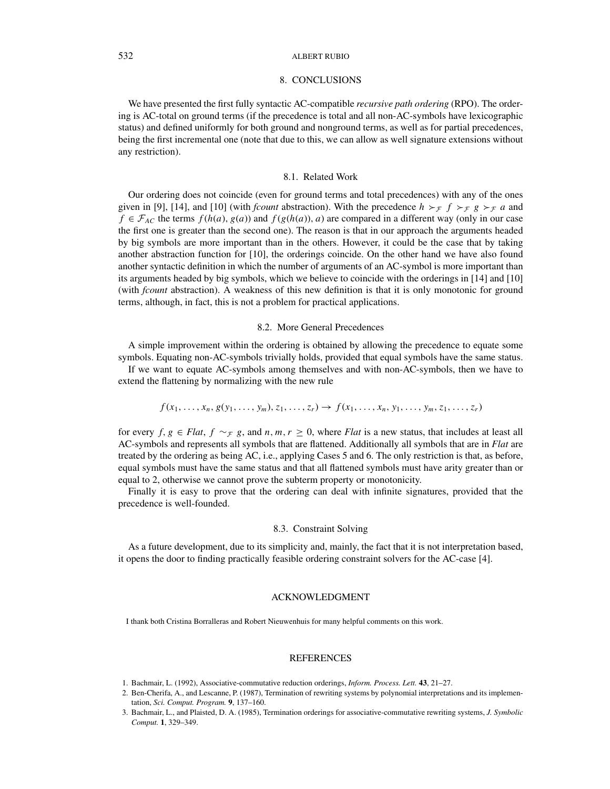#### 8. CONCLUSIONS

We have presented the first fully syntactic AC-compatible *recursive path ordering* (RPO). The ordering is AC-total on ground terms (if the precedence is total and all non-AC-symbols have lexicographic status) and defined uniformly for both ground and nonground terms, as well as for partial precedences, being the first incremental one (note that due to this, we can allow as well signature extensions without any restriction).

# 8.1. Related Work

Our ordering does not coincide (even for ground terms and total precedences) with any of the ones given in [9], [14], and [10] (with *fcount* abstraction). With the precedence  $h >_f f >_f g >_f a$  and *f* ∈  $\mathcal{F}_{AC}$  the terms *f* (*h*(*a*), *g*(*a*)) and *f* (*g*(*h*(*a*)), *a*) are compared in a different way (only in our case the first one is greater than the second one). The reason is that in our approach the arguments headed by big symbols are more important than in the others. However, it could be the case that by taking another abstraction function for [10], the orderings coincide. On the other hand we have also found another syntactic definition in which the number of arguments of an AC-symbol is more important than its arguments headed by big symbols, which we believe to coincide with the orderings in [14] and [10] (with *fcount* abstraction). A weakness of this new definition is that it is only monotonic for ground terms, although, in fact, this is not a problem for practical applications.

# 8.2. More General Precedences

A simple improvement within the ordering is obtained by allowing the precedence to equate some symbols. Equating non-AC-symbols trivially holds, provided that equal symbols have the same status.

If we want to equate AC-symbols among themselves and with non-AC-symbols, then we have to extend the flattening by normalizing with the new rule

$$
f(x_1,\ldots,x_n,g(y_1,\ldots,y_m),z_1,\ldots,z_r)\rightarrow f(x_1,\ldots,x_n,y_1,\ldots,y_m,z_1,\ldots,z_r)
$$

for every *f*, *g* ∈ *Flat*, *f* ∼<sub>F</sub> *g*, and *n*, *m*, *r* ≥ 0, where *Flat* is a new status, that includes at least all AC-symbols and represents all symbols that are flattened. Additionally all symbols that are in *Flat* are treated by the ordering as being AC, i.e., applying Cases 5 and 6. The only restriction is that, as before, equal symbols must have the same status and that all flattened symbols must have arity greater than or equal to 2, otherwise we cannot prove the subterm property or monotonicity.

Finally it is easy to prove that the ordering can deal with infinite signatures, provided that the precedence is well-founded.

#### 8.3. Constraint Solving

As a future development, due to its simplicity and, mainly, the fact that it is not interpretation based, it opens the door to finding practically feasible ordering constraint solvers for the AC-case [4].

## ACKNOWLEDGMENT

I thank both Cristina Borralleras and Robert Nieuwenhuis for many helpful comments on this work.

# **REFERENCES**

- 1. Bachmair, L. (1992), Associative-commutative reduction orderings, *Inform. Process. Lett.* **43**, 21–27.
- 2. Ben-Cherifa, A., and Lescanne, P. (1987), Termination of rewriting systems by polynomial interpretations and its implementation, *Sci. Comput. Program.* **9**, 137–160.
- 3. Bachmair, L., and Plaisted, D. A. (1985), Termination orderings for associative-commutative rewriting systems, *J. Symbolic Comput.* **1**, 329–349.